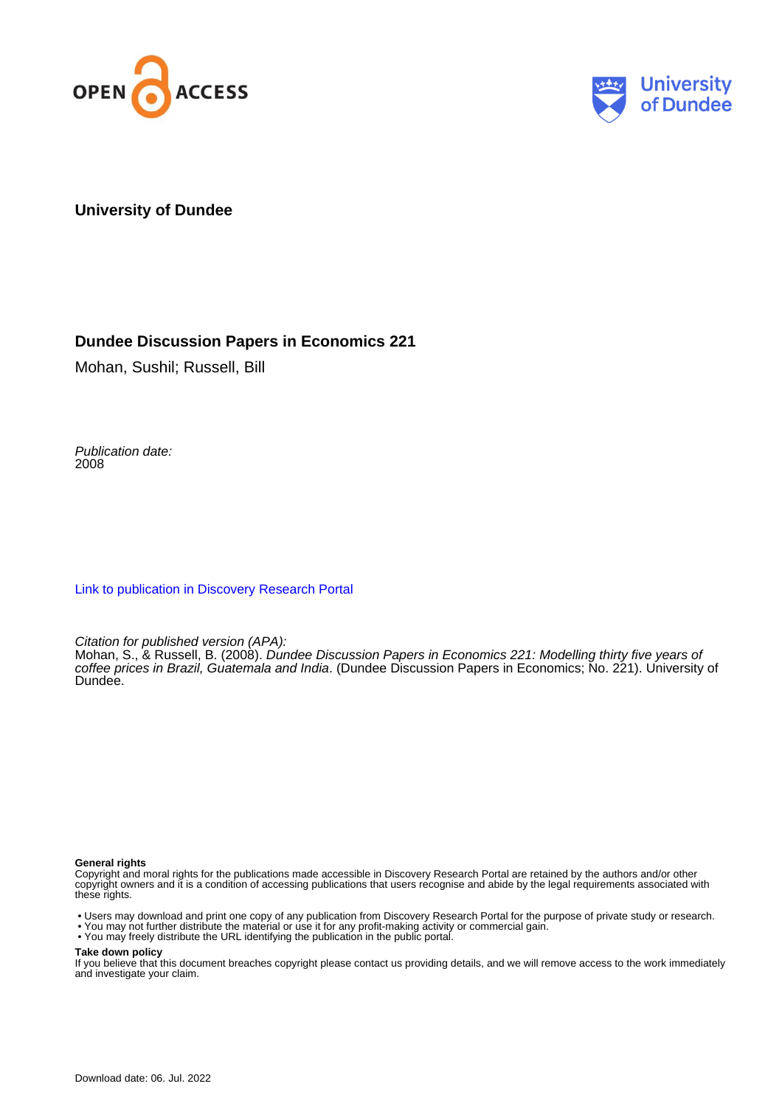



#### **University of Dundee**

#### **Dundee Discussion Papers in Economics 221**

Mohan, Sushil; Russell, Bill

Publication date: 2008

[Link to publication in Discovery Research Portal](https://discovery.dundee.ac.uk/en/publications/d60163b6-ee43-48ba-a094-24a8de5440d5)

Citation for published version (APA):

Mohan, S., & Russell, B. (2008). Dundee Discussion Papers in Economics 221: Modelling thirty five years of coffee prices in Brazil, Guatemala and India. (Dundee Discussion Papers in Economics; No. 221). University of Dundee.

#### **General rights**

Copyright and moral rights for the publications made accessible in Discovery Research Portal are retained by the authors and/or other copyright owners and it is a condition of accessing publications that users recognise and abide by the legal requirements associated with these rights.

• Users may download and print one copy of any publication from Discovery Research Portal for the purpose of private study or research.

- You may not further distribute the material or use it for any profit-making activity or commercial gain.
- You may freely distribute the URL identifying the publication in the public portal.

#### **Take down policy**

If you believe that this document breaches copyright please contact us providing details, and we will remove access to the work immediately and investigate your claim.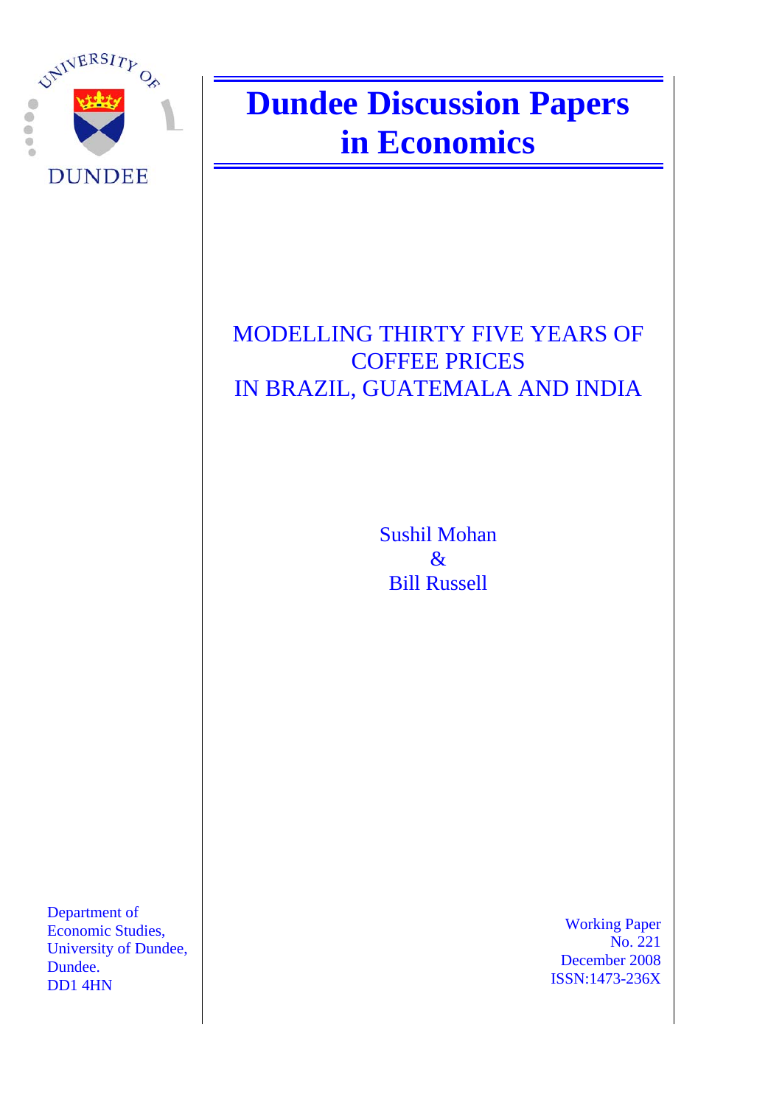

# **Dundee Discussion Papers in Economics**

# MODELLING THIRTY FIVE YEARS OF COFFEE PRICES IN BRAZIL, GUATEMALA AND INDIA

Sushil Mohan & Bill Russell

Department of Economic Studies, University of Dundee, Dundee. DD1 4HN

 Working Paper No. 221 December 2008 ISSN:1473-236X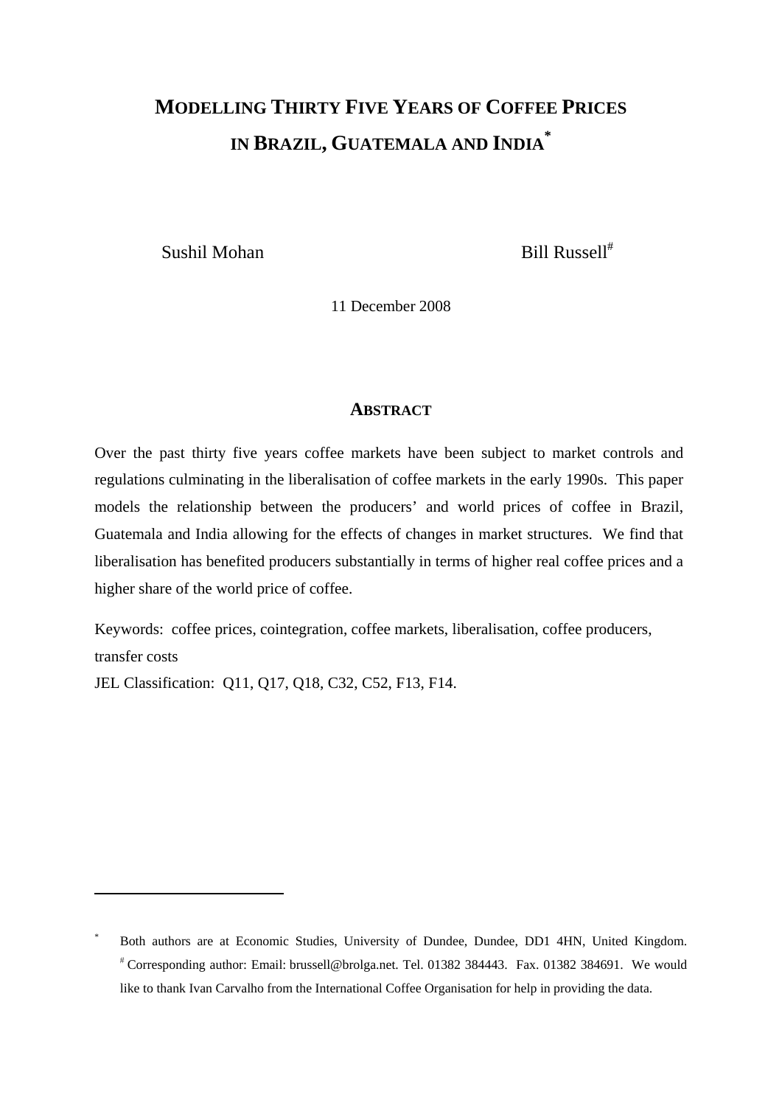# **MODELLING THIRTY FIVE YEARS OF COFFEE PRICES IN BRAZIL, GUATEMALA AND INDIA \***

Sushil Mohan Bill Russell<sup>#</sup>

11 December 2008

#### **ABSTRACT**

Over the past thirty five years coffee markets have been subject to market controls and regulations culminating in the liberalisation of coffee markets in the early 1990s. This paper models the relationship between the producers' and world prices of coffee in Brazil, Guatemala and India allowing for the effects of changes in market structures. We find that liberalisation has benefited producers substantially in terms of higher real coffee prices and a higher share of the world price of coffee.

Keywords: coffee prices, cointegration, coffee markets, liberalisation, coffee producers, transfer costs

JEL Classification: Q11, Q17, Q18, C32, C52, F13, F14.

<sup>\*</sup> Both authors are at Economic Studies, University of Dundee, Dundee, DD1 4HN, United Kingdom. # Corresponding author: Email: brussell@brolga.net. Tel. 01382 384443. Fax. 01382 384691. We would like to thank Ivan Carvalho from the International Coffee Organisation for help in providing the data.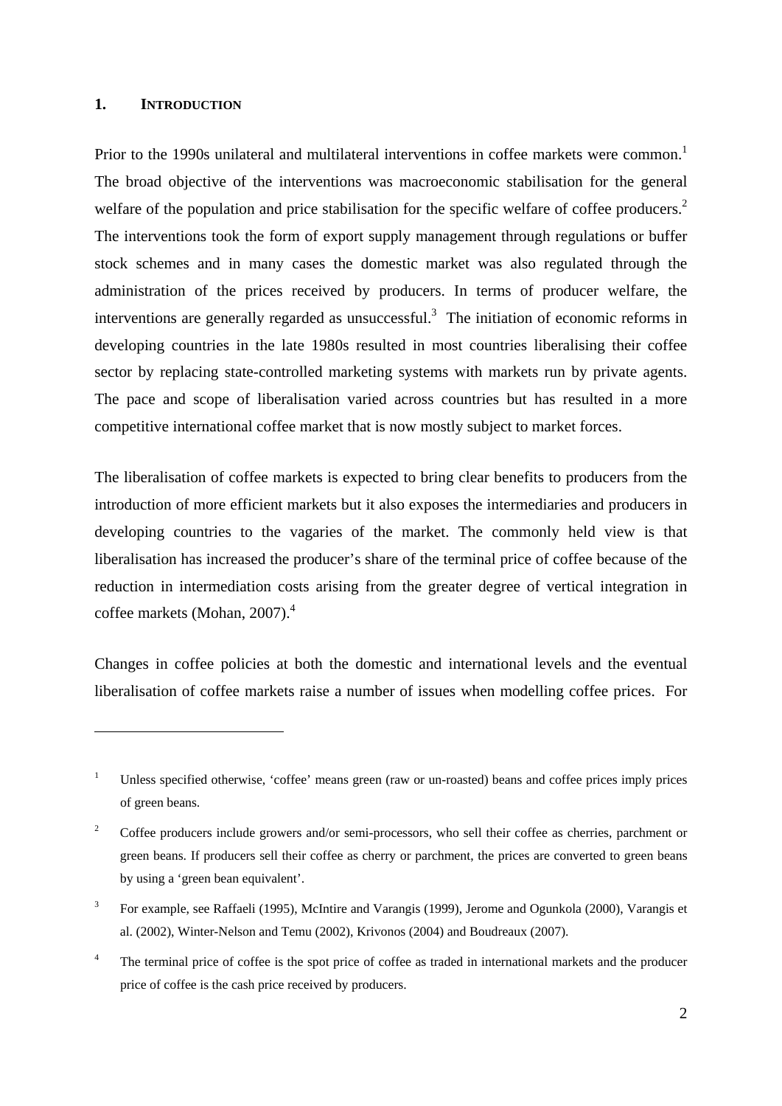#### **1. INTRODUCTION**

1

Prior to the 1990s unilateral and multilateral interventions in coffee markets were common.<sup>1</sup> The broad objective of the interventions was macroeconomic stabilisation for the general welfare of the population and price stabilisation for the specific welfare of coffee producers.<sup>2</sup> The interventions took the form of export supply management through regulations or buffer stock schemes and in many cases the domestic market was also regulated through the administration of the prices received by producers. In terms of producer welfare, the interventions are generally regarded as unsuccessful.<sup>3</sup> The initiation of economic reforms in developing countries in the late 1980s resulted in most countries liberalising their coffee sector by replacing state-controlled marketing systems with markets run by private agents. The pace and scope of liberalisation varied across countries but has resulted in a more competitive international coffee market that is now mostly subject to market forces.

The liberalisation of coffee markets is expected to bring clear benefits to producers from the introduction of more efficient markets but it also exposes the intermediaries and producers in developing countries to the vagaries of the market. The commonly held view is that liberalisation has increased the producer's share of the terminal price of coffee because of the reduction in intermediation costs arising from the greater degree of vertical integration in coffee markets (Mohan, 2007).<sup>4</sup>

Changes in coffee policies at both the domestic and international levels and the eventual liberalisation of coffee markets raise a number of issues when modelling coffee prices. For

<sup>1</sup> Unless specified otherwise, 'coffee' means green (raw or un-roasted) beans and coffee prices imply prices of green beans.

<sup>2</sup> Coffee producers include growers and/or semi-processors, who sell their coffee as cherries, parchment or green beans. If producers sell their coffee as cherry or parchment, the prices are converted to green beans by using a 'green bean equivalent'.

<sup>3</sup> For example, see Raffaeli (1995), McIntire and Varangis (1999), Jerome and Ogunkola (2000), Varangis et al. (2002), Winter-Nelson and Temu (2002), Krivonos (2004) and Boudreaux (2007).

<sup>4</sup> The terminal price of coffee is the spot price of coffee as traded in international markets and the producer price of coffee is the cash price received by producers.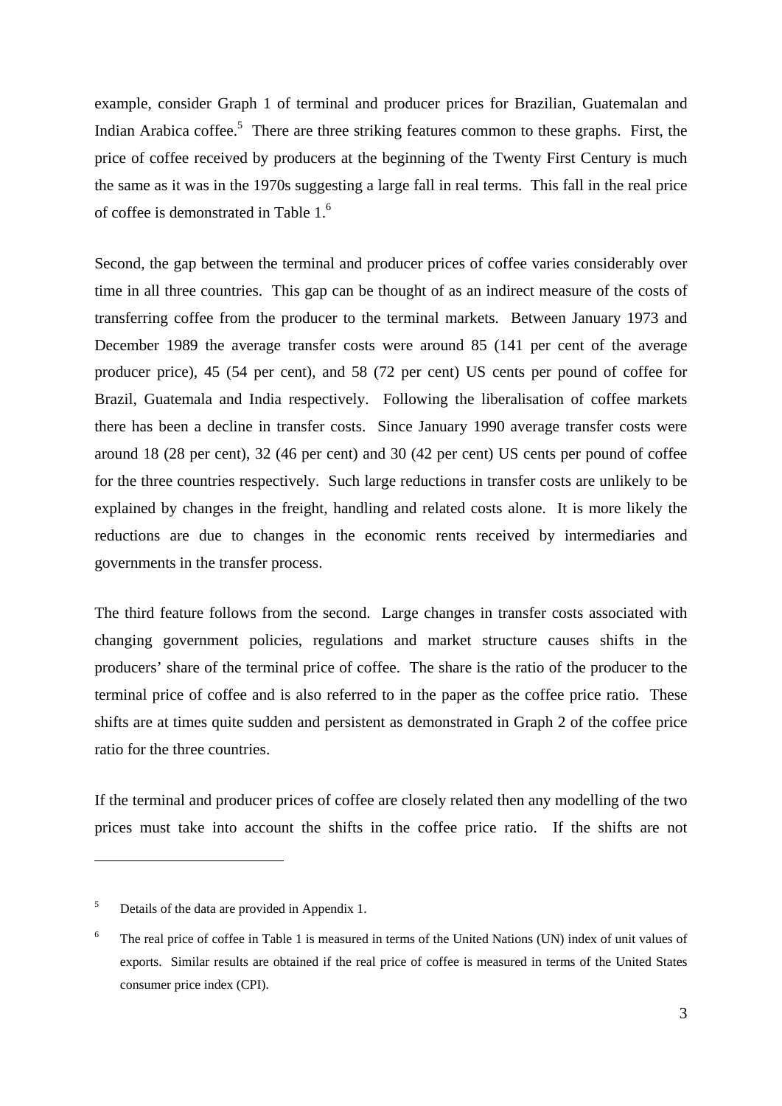example, consider Graph 1 of terminal and producer prices for Brazilian, Guatemalan and Indian Arabica coffee.<sup>5</sup> There are three striking features common to these graphs. First, the price of coffee received by producers at the beginning of the Twenty First Century is much the same as it was in the 1970s suggesting a large fall in real terms. This fall in the real price of coffee is demonstrated in Table 1.6

Second, the gap between the terminal and producer prices of coffee varies considerably over time in all three countries. This gap can be thought of as an indirect measure of the costs of transferring coffee from the producer to the terminal markets. Between January 1973 and December 1989 the average transfer costs were around 85 (141 per cent of the average producer price), 45 (54 per cent), and 58 (72 per cent) US cents per pound of coffee for Brazil, Guatemala and India respectively. Following the liberalisation of coffee markets there has been a decline in transfer costs. Since January 1990 average transfer costs were around 18 (28 per cent), 32 (46 per cent) and 30 (42 per cent) US cents per pound of coffee for the three countries respectively. Such large reductions in transfer costs are unlikely to be explained by changes in the freight, handling and related costs alone. It is more likely the reductions are due to changes in the economic rents received by intermediaries and governments in the transfer process.

The third feature follows from the second. Large changes in transfer costs associated with changing government policies, regulations and market structure causes shifts in the producers' share of the terminal price of coffee. The share is the ratio of the producer to the terminal price of coffee and is also referred to in the paper as the coffee price ratio. These shifts are at times quite sudden and persistent as demonstrated in Graph 2 of the coffee price ratio for the three countries.

If the terminal and producer prices of coffee are closely related then any modelling of the two prices must take into account the shifts in the coffee price ratio. If the shifts are not

<sup>5</sup> Details of the data are provided in Appendix 1.

<sup>6</sup> The real price of coffee in Table 1 is measured in terms of the United Nations (UN) index of unit values of exports. Similar results are obtained if the real price of coffee is measured in terms of the United States consumer price index (CPI).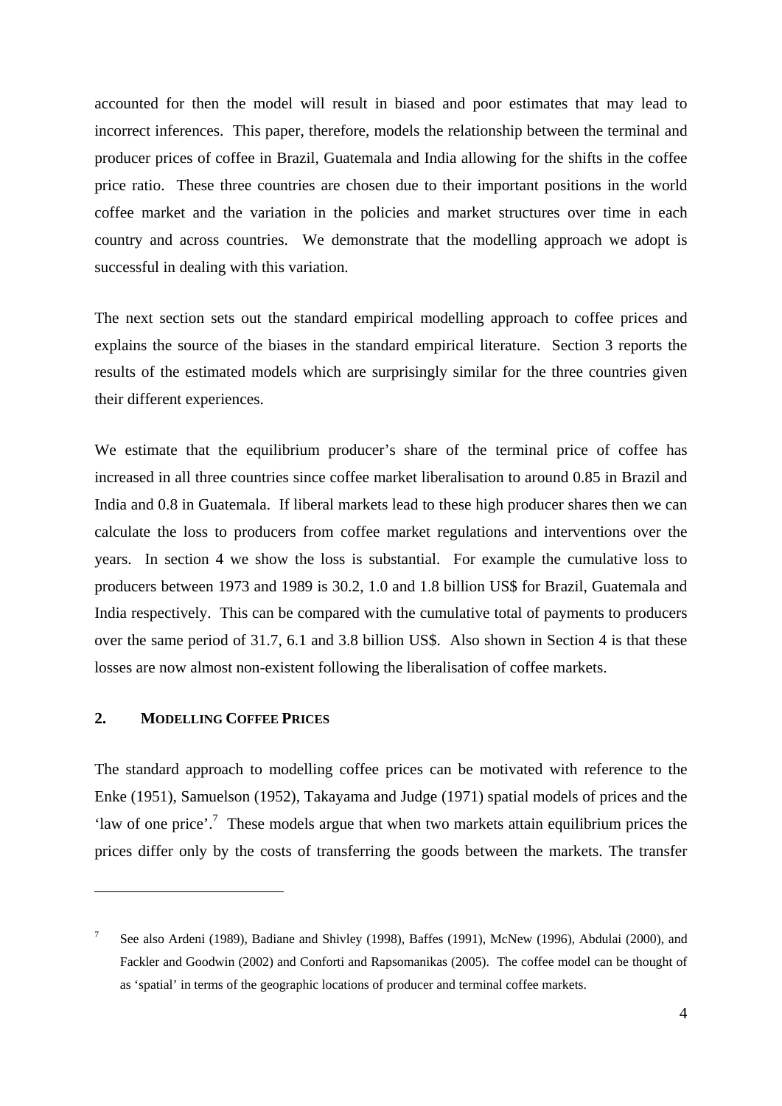accounted for then the model will result in biased and poor estimates that may lead to incorrect inferences. This paper, therefore, models the relationship between the terminal and producer prices of coffee in Brazil, Guatemala and India allowing for the shifts in the coffee price ratio. These three countries are chosen due to their important positions in the world coffee market and the variation in the policies and market structures over time in each country and across countries. We demonstrate that the modelling approach we adopt is successful in dealing with this variation.

The next section sets out the standard empirical modelling approach to coffee prices and explains the source of the biases in the standard empirical literature. Section 3 reports the results of the estimated models which are surprisingly similar for the three countries given their different experiences.

We estimate that the equilibrium producer's share of the terminal price of coffee has increased in all three countries since coffee market liberalisation to around 0.85 in Brazil and India and 0.8 in Guatemala. If liberal markets lead to these high producer shares then we can calculate the loss to producers from coffee market regulations and interventions over the years. In section 4 we show the loss is substantial. For example the cumulative loss to producers between 1973 and 1989 is 30.2, 1.0 and 1.8 billion US\$ for Brazil, Guatemala and India respectively. This can be compared with the cumulative total of payments to producers over the same period of 31.7, 6.1 and 3.8 billion US\$. Also shown in Section 4 is that these losses are now almost non-existent following the liberalisation of coffee markets.

#### **2. MODELLING COFFEE PRICES**

1

The standard approach to modelling coffee prices can be motivated with reference to the Enke (1951), Samuelson (1952), Takayama and Judge (1971) spatial models of prices and the 'law of one price'.<sup>7</sup> These models argue that when two markets attain equilibrium prices the prices differ only by the costs of transferring the goods between the markets. The transfer

<sup>7</sup> See also Ardeni (1989), Badiane and Shivley (1998), Baffes (1991), McNew (1996), Abdulai (2000), and Fackler and Goodwin (2002) and Conforti and Rapsomanikas (2005). The coffee model can be thought of as 'spatial' in terms of the geographic locations of producer and terminal coffee markets.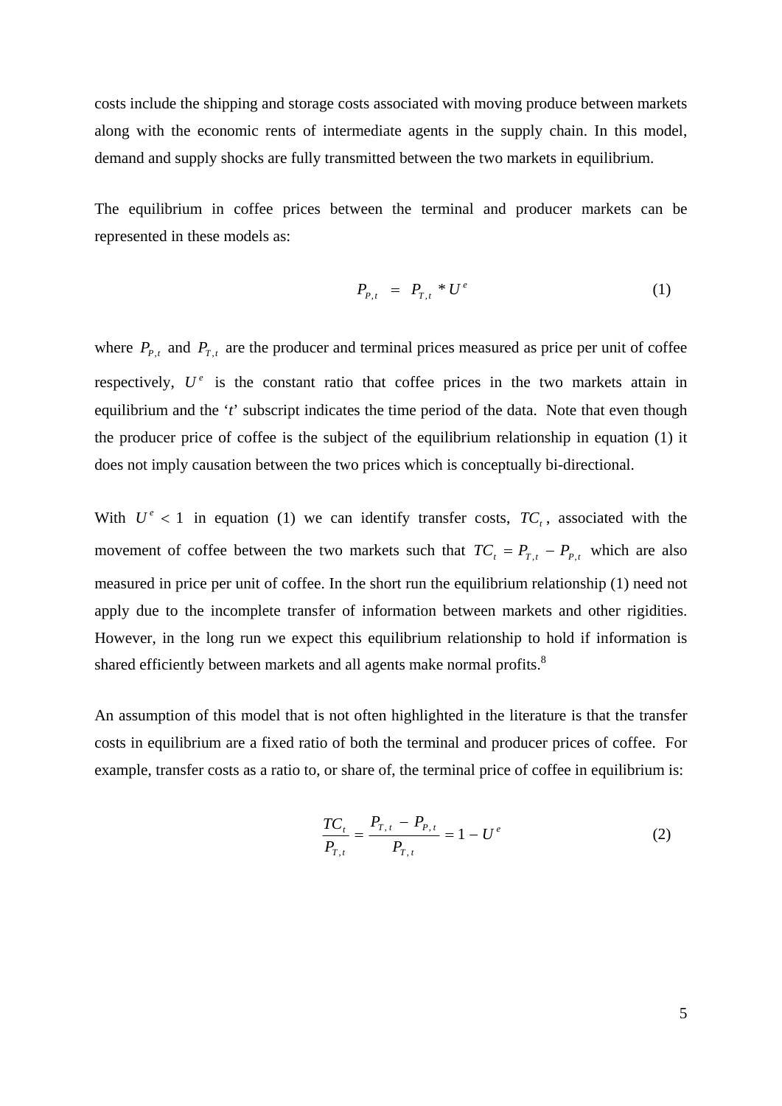costs include the shipping and storage costs associated with moving produce between markets along with the economic rents of intermediate agents in the supply chain. In this model, demand and supply shocks are fully transmitted between the two markets in equilibrium.

The equilibrium in coffee prices between the terminal and producer markets can be represented in these models as:

$$
P_{p,t} = P_{T,t} * U^e \tag{1}
$$

where  $P_{P,t}$  and  $P_{T,t}$  are the producer and terminal prices measured as price per unit of coffee respectively,  $U^e$  is the constant ratio that coffee prices in the two markets attain in equilibrium and the '*t*' subscript indicates the time period of the data. Note that even though the producer price of coffee is the subject of the equilibrium relationship in equation (1) it does not imply causation between the two prices which is conceptually bi-directional.

With  $U^e$  < 1 in equation (1) we can identify transfer costs,  $TC_t$ , associated with the movement of coffee between the two markets such that  $TC_t = P_{T,t} - P_{P,t}$  which are also measured in price per unit of coffee. In the short run the equilibrium relationship (1) need not apply due to the incomplete transfer of information between markets and other rigidities. However, in the long run we expect this equilibrium relationship to hold if information is shared efficiently between markets and all agents make normal profits.<sup>8</sup>

An assumption of this model that is not often highlighted in the literature is that the transfer costs in equilibrium are a fixed ratio of both the terminal and producer prices of coffee. For example, transfer costs as a ratio to, or share of, the terminal price of coffee in equilibrium is:

$$
\frac{TC_t}{P_{T,t}} = \frac{P_{T,t} - P_{P,t}}{P_{T,t}} = 1 - U^e
$$
\n(2)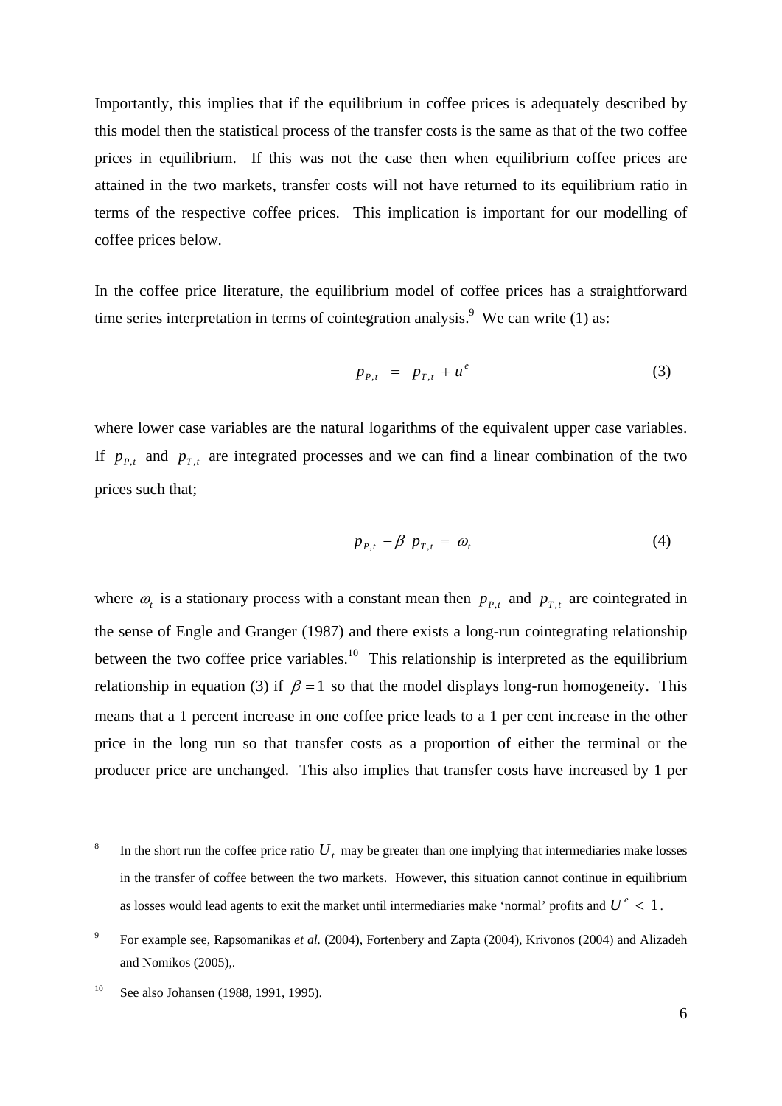Importantly, this implies that if the equilibrium in coffee prices is adequately described by this model then the statistical process of the transfer costs is the same as that of the two coffee prices in equilibrium. If this was not the case then when equilibrium coffee prices are attained in the two markets, transfer costs will not have returned to its equilibrium ratio in terms of the respective coffee prices. This implication is important for our modelling of coffee prices below.

In the coffee price literature, the equilibrium model of coffee prices has a straightforward time series interpretation in terms of cointegration analysis.<sup>9</sup> We can write (1) as:

$$
p_{P,t} = p_{T,t} + u^e \tag{3}
$$

where lower case variables are the natural logarithms of the equivalent upper case variables. If  $p_{P,t}$  and  $p_{T,t}$  are integrated processes and we can find a linear combination of the two prices such that;

$$
p_{P,t} - \beta p_{T,t} = \omega_t \tag{4}
$$

where  $\omega_t$  is a stationary process with a constant mean then  $p_{P,t}$  and  $p_{T,t}$  are cointegrated in the sense of Engle and Granger (1987) and there exists a long-run cointegrating relationship between the two coffee price variables.<sup>10</sup> This relationship is interpreted as the equilibrium relationship in equation (3) if  $\beta = 1$  so that the model displays long-run homogeneity. This means that a 1 percent increase in one coffee price leads to a 1 per cent increase in the other price in the long run so that transfer costs as a proportion of either the terminal or the producer price are unchanged. This also implies that transfer costs have increased by 1 per

<sup>8</sup> In the short run the coffee price ratio  $U_t$ , may be greater than one implying that intermediaries make losses in the transfer of coffee between the two markets. However, this situation cannot continue in equilibrium as losses would lead agents to exit the market until intermediaries make 'normal' profits and  $U^e$  < 1.

<sup>9</sup> For example see, Rapsomanikas *et al.* (2004), Fortenbery and Zapta (2004), Krivonos (2004) and Alizadeh and Nomikos (2005),.

<sup>&</sup>lt;sup>10</sup> See also Johansen (1988, 1991, 1995).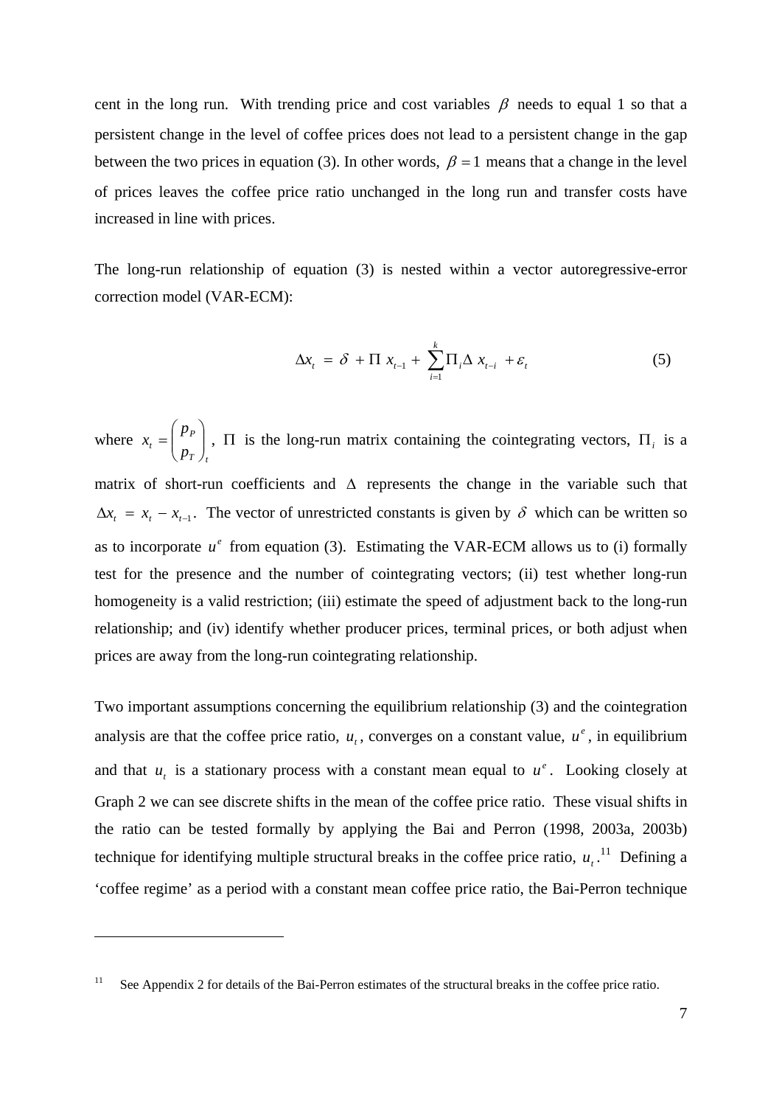cent in the long run. With trending price and cost variables  $\beta$  needs to equal 1 so that a persistent change in the level of coffee prices does not lead to a persistent change in the gap between the two prices in equation (3). In other words,  $\beta = 1$  means that a change in the level of prices leaves the coffee price ratio unchanged in the long run and transfer costs have increased in line with prices.

The long-run relationship of equation (3) is nested within a vector autoregressive-error correction model (VAR-ECM):

$$
\Delta x_t = \delta + \Pi x_{t-1} + \sum_{i=1}^k \Pi_i \Delta x_{t-i} + \varepsilon_t
$$
 (5)

where *T t P*  $\binom{p}{p}$ *p*  $x_t = \left\lfloor \frac{PP}{n} \right\rfloor$ ⎠ ⎞  $\parallel$ ⎝  $=\left(\begin{array}{c} P_P \ P_I \end{array}\right)$ ,  $\Pi$  is the long-run matrix containing the cointegrating vectors,  $\Pi_i$  is a matrix of short-run coefficients and  $\Delta$  represents the change in the variable such that  $\Delta x_t = x_t - x_{t-1}$ . The vector of unrestricted constants is given by  $\delta$  which can be written so as to incorporate  $u^e$  from equation (3). Estimating the VAR-ECM allows us to (i) formally test for the presence and the number of cointegrating vectors; (ii) test whether long-run homogeneity is a valid restriction; (iii) estimate the speed of adjustment back to the long-run relationship; and (iv) identify whether producer prices, terminal prices, or both adjust when prices are away from the long-run cointegrating relationship.

Two important assumptions concerning the equilibrium relationship (3) and the cointegration analysis are that the coffee price ratio,  $u_t$ , converges on a constant value,  $u^e$ , in equilibrium and that  $u_t$  is a stationary process with a constant mean equal to  $u^e$ . Looking closely at Graph 2 we can see discrete shifts in the mean of the coffee price ratio. These visual shifts in the ratio can be tested formally by applying the Bai and Perron (1998, 2003a, 2003b) technique for identifying multiple structural breaks in the coffee price ratio,  $u_t$ .<sup>11</sup> Defining a 'coffee regime' as a period with a constant mean coffee price ratio, the Bai-Perron technique

<sup>&</sup>lt;sup>11</sup> See Appendix 2 for details of the Bai-Perron estimates of the structural breaks in the coffee price ratio.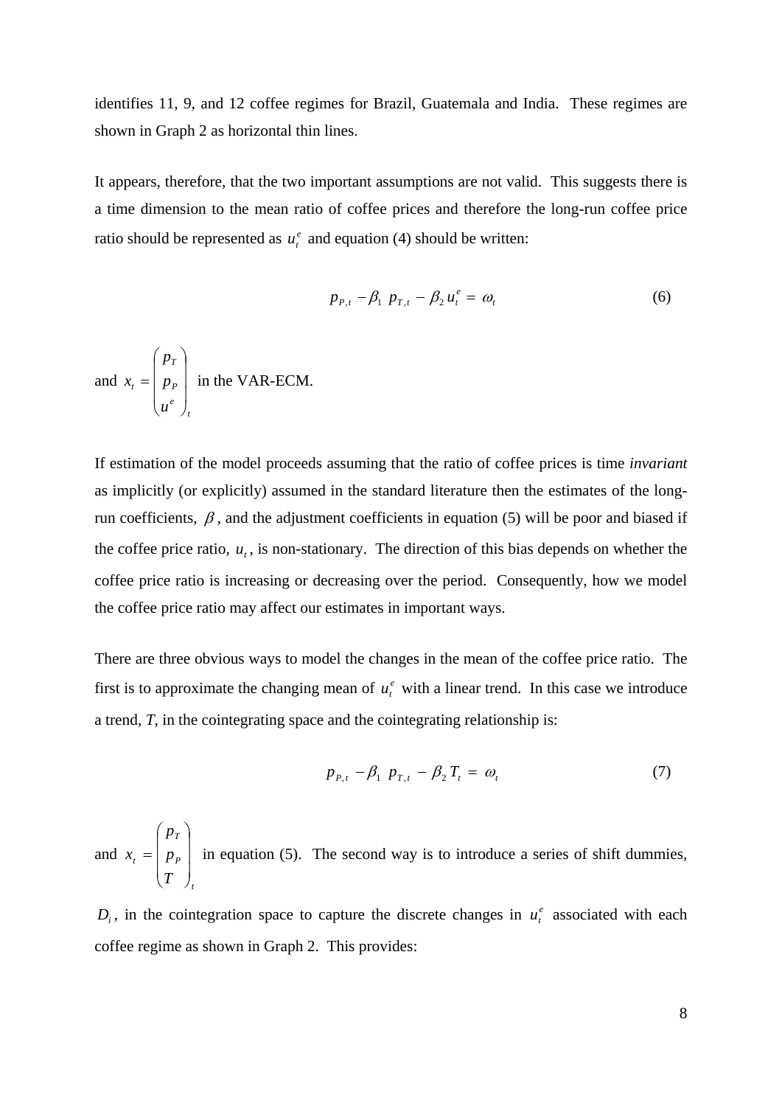identifies 11, 9, and 12 coffee regimes for Brazil, Guatemala and India. These regimes are shown in Graph 2 as horizontal thin lines.

It appears, therefore, that the two important assumptions are not valid. This suggests there is a time dimension to the mean ratio of coffee prices and therefore the long-run coffee price ratio should be represented as  $u_t^e$  and equation (4) should be written:

$$
p_{P,t} - \beta_1 \ p_{T,t} - \beta_2 u_t^e = \omega_t \tag{6}
$$

and *t e P T t u p p x*  $\overline{\phantom{a}}$  $\overline{\phantom{a}}$  $\overline{\phantom{a}}$ ⎠ ⎞  $\overline{a}$  $\overline{a}$  $\mathsf I$ ⎝  $\big($  $= | p_{p} |$  in the VAR-ECM.

If estimation of the model proceeds assuming that the ratio of coffee prices is time *invariant* as implicitly (or explicitly) assumed in the standard literature then the estimates of the longrun coefficients,  $\beta$ , and the adjustment coefficients in equation (5) will be poor and biased if the coffee price ratio,  $u_t$ , is non-stationary. The direction of this bias depends on whether the coffee price ratio is increasing or decreasing over the period. Consequently, how we model the coffee price ratio may affect our estimates in important ways.

There are three obvious ways to model the changes in the mean of the coffee price ratio. The first is to approximate the changing mean of  $u_t^e$  with a linear trend. In this case we introduce a trend, *T*, in the cointegrating space and the cointegrating relationship is:

$$
p_{P,t} - \beta_1 \ p_{T,t} - \beta_2 \, T_t = \, \omega_t \tag{7}
$$

and *t P T t T p p x*  $\overline{\phantom{a}}$  $\overline{\phantom{a}}$  $\overline{\phantom{a}}$ ⎠ ⎞  $\overline{ }$  $\mathsf I$  $\mathsf I$ ⎝  $\big($  $= |p_{p}|$  in equation (5). The second way is to introduce a series of shift dummies,

 $D_i$ , in the cointegration space to capture the discrete changes in  $u_i^e$  associated with each coffee regime as shown in Graph 2. This provides: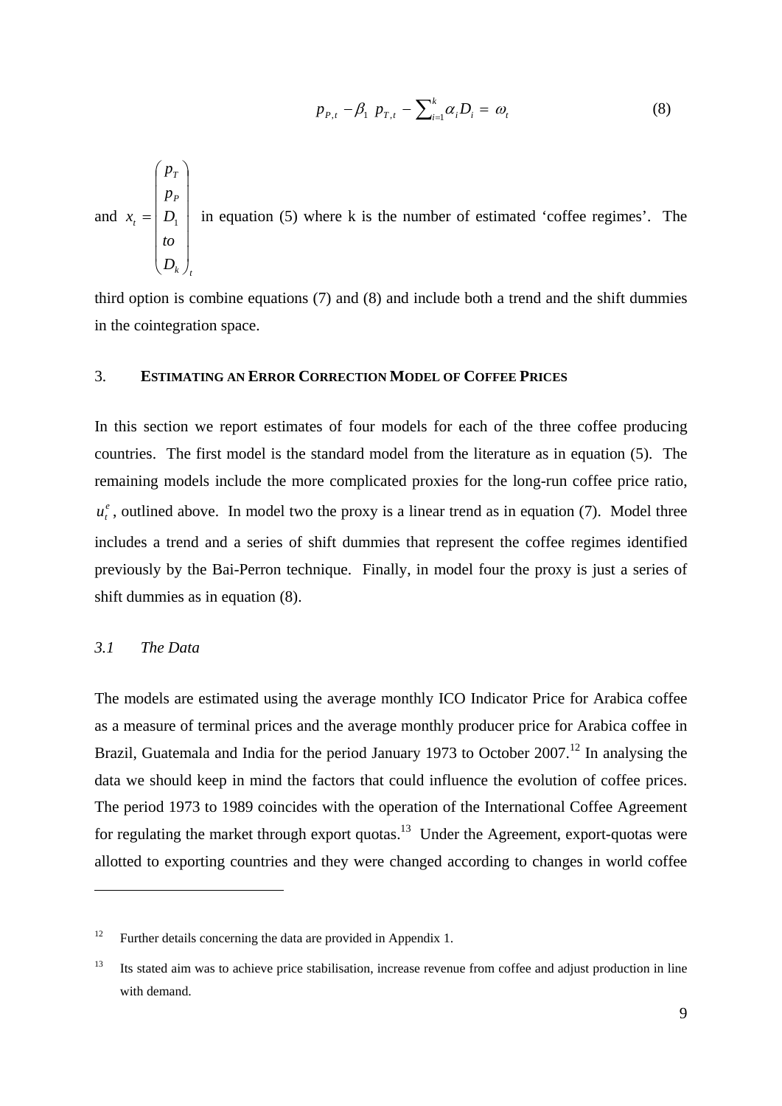$$
p_{P,t} - \beta_1 \ p_{T,t} - \sum_{i=1}^k \alpha_i D_i = \omega_t \tag{8}
$$

and *t k P T t D to D p p x*  $\overline{\phantom{a}}$  $\overline{\phantom{a}}$  $\overline{\phantom{a}}$  $\overline{\phantom{a}}$  $\overline{\phantom{a}}$  $\overline{\phantom{a}}$ ⎠ ⎞  $\mathsf{L}$  $\mathsf I$  $\mathsf{L}$  $\mathsf{L}$  $\mathsf I$  $\mathsf{L}$ ⎝  $\big($  $= |D_1|$  in equation (5) where k is the number of estimated 'coffee regimes'. The

third option is combine equations (7) and (8) and include both a trend and the shift dummies in the cointegration space.

#### 3. **ESTIMATING AN ERROR CORRECTION MODEL OF COFFEE PRICES**

In this section we report estimates of four models for each of the three coffee producing countries. The first model is the standard model from the literature as in equation (5). The remaining models include the more complicated proxies for the long-run coffee price ratio,  $u_t^e$ , outlined above. In model two the proxy is a linear trend as in equation (7). Model three includes a trend and a series of shift dummies that represent the coffee regimes identified previously by the Bai-Perron technique. Finally, in model four the proxy is just a series of shift dummies as in equation (8).

#### *3.1 The Data*

1

The models are estimated using the average monthly ICO Indicator Price for Arabica coffee as a measure of terminal prices and the average monthly producer price for Arabica coffee in Brazil, Guatemala and India for the period January 1973 to October 2007.<sup>12</sup> In analysing the data we should keep in mind the factors that could influence the evolution of coffee prices. The period 1973 to 1989 coincides with the operation of the International Coffee Agreement for regulating the market through export quotas.<sup>13</sup> Under the Agreement, export-quotas were allotted to exporting countries and they were changed according to changes in world coffee

<sup>&</sup>lt;sup>12</sup> Further details concerning the data are provided in Appendix 1.

<sup>&</sup>lt;sup>13</sup> Its stated aim was to achieve price stabilisation, increase revenue from coffee and adjust production in line with demand.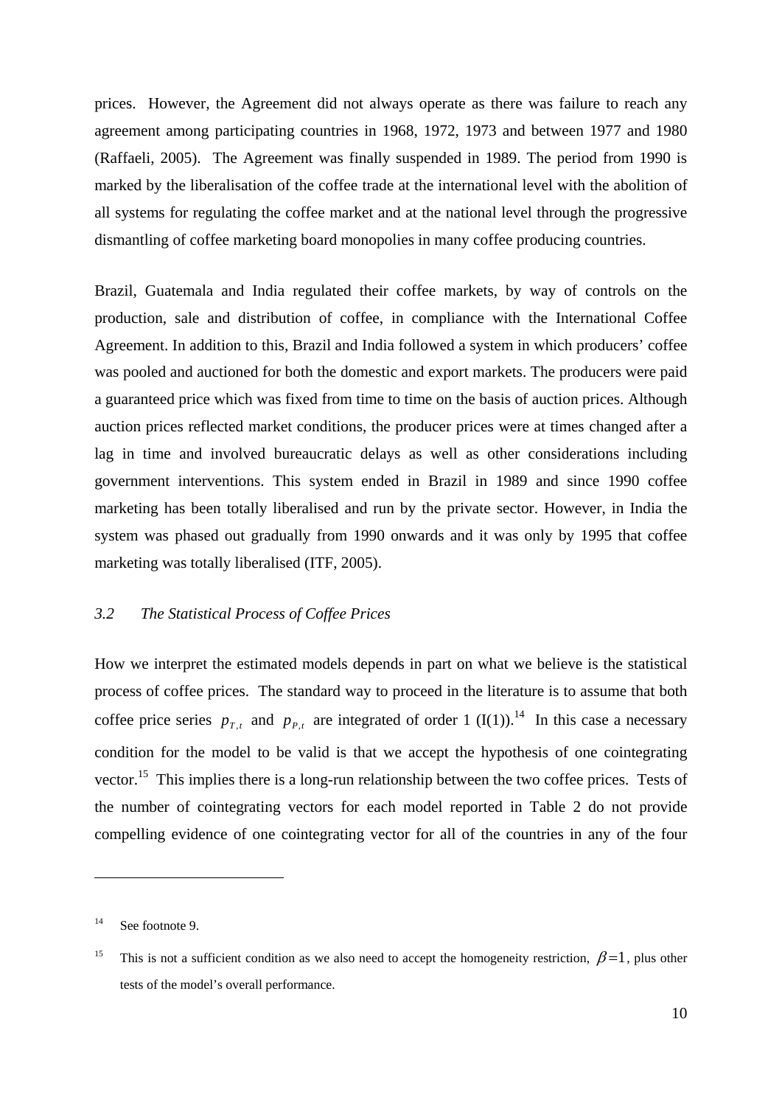prices. However, the Agreement did not always operate as there was failure to reach any agreement among participating countries in 1968, 1972, 1973 and between 1977 and 1980 (Raffaeli, 2005). The Agreement was finally suspended in 1989. The period from 1990 is marked by the liberalisation of the coffee trade at the international level with the abolition of all systems for regulating the coffee market and at the national level through the progressive dismantling of coffee marketing board monopolies in many coffee producing countries.

Brazil, Guatemala and India regulated their coffee markets, by way of controls on the production, sale and distribution of coffee, in compliance with the International Coffee Agreement. In addition to this, Brazil and India followed a system in which producers' coffee was pooled and auctioned for both the domestic and export markets. The producers were paid a guaranteed price which was fixed from time to time on the basis of auction prices. Although auction prices reflected market conditions, the producer prices were at times changed after a lag in time and involved bureaucratic delays as well as other considerations including government interventions. This system ended in Brazil in 1989 and since 1990 coffee marketing has been totally liberalised and run by the private sector. However, in India the system was phased out gradually from 1990 onwards and it was only by 1995 that coffee marketing was totally liberalised (ITF, 2005).

### *3.2 The Statistical Process of Coffee Prices*

How we interpret the estimated models depends in part on what we believe is the statistical process of coffee prices. The standard way to proceed in the literature is to assume that both coffee price series  $p_{T,t}$  and  $p_{P,t}$  are integrated of order 1 (I(1)).<sup>14</sup> In this case a necessary condition for the model to be valid is that we accept the hypothesis of one cointegrating vector.<sup>15</sup> This implies there is a long-run relationship between the two coffee prices. Tests of the number of cointegrating vectors for each model reported in Table 2 do not provide compelling evidence of one cointegrating vector for all of the countries in any of the four

<sup>&</sup>lt;sup>14</sup> See footnote 9.

<sup>&</sup>lt;sup>15</sup> This is not a sufficient condition as we also need to accept the homogeneity restriction,  $\beta$  = 1, plus other tests of the model's overall performance.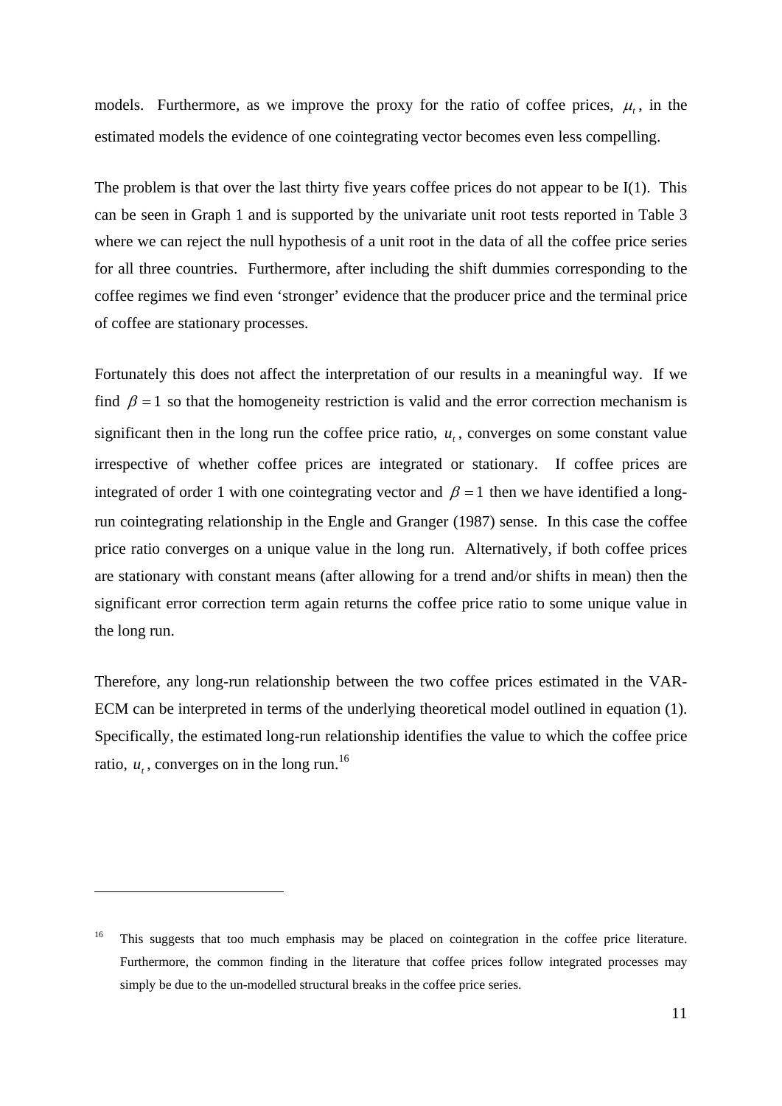models. Furthermore, as we improve the proxy for the ratio of coffee prices,  $\mu$ , in the estimated models the evidence of one cointegrating vector becomes even less compelling.

The problem is that over the last thirty five years coffee prices do not appear to be I(1). This can be seen in Graph 1 and is supported by the univariate unit root tests reported in Table 3 where we can reject the null hypothesis of a unit root in the data of all the coffee price series for all three countries. Furthermore, after including the shift dummies corresponding to the coffee regimes we find even 'stronger' evidence that the producer price and the terminal price of coffee are stationary processes.

Fortunately this does not affect the interpretation of our results in a meaningful way. If we find  $\beta = 1$  so that the homogeneity restriction is valid and the error correction mechanism is significant then in the long run the coffee price ratio,  $u_t$ , converges on some constant value irrespective of whether coffee prices are integrated or stationary. If coffee prices are integrated of order 1 with one cointegrating vector and  $\beta = 1$  then we have identified a longrun cointegrating relationship in the Engle and Granger (1987) sense. In this case the coffee price ratio converges on a unique value in the long run. Alternatively, if both coffee prices are stationary with constant means (after allowing for a trend and/or shifts in mean) then the significant error correction term again returns the coffee price ratio to some unique value in the long run.

Therefore, any long-run relationship between the two coffee prices estimated in the VAR-ECM can be interpreted in terms of the underlying theoretical model outlined in equation (1). Specifically, the estimated long-run relationship identifies the value to which the coffee price ratio,  $u_t$ , converges on in the long run.<sup>16</sup>

<sup>&</sup>lt;sup>16</sup> This suggests that too much emphasis may be placed on cointegration in the coffee price literature. Furthermore, the common finding in the literature that coffee prices follow integrated processes may simply be due to the un-modelled structural breaks in the coffee price series.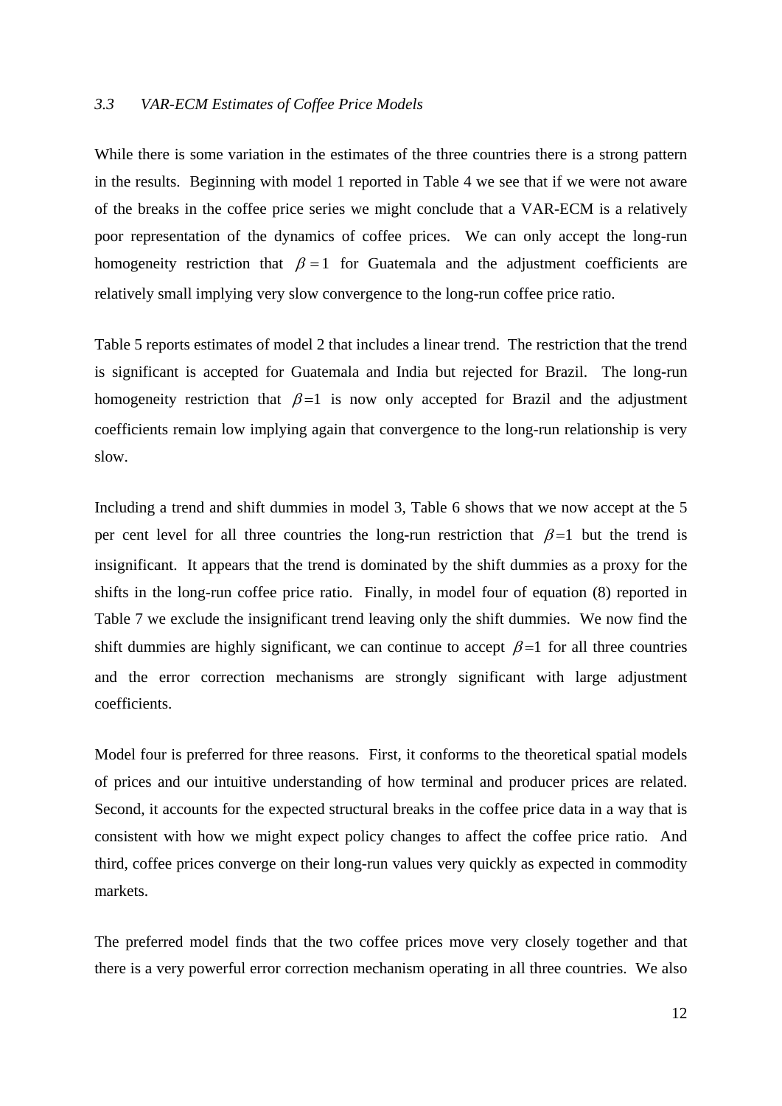#### *3.3 VAR-ECM Estimates of Coffee Price Models*

While there is some variation in the estimates of the three countries there is a strong pattern in the results. Beginning with model 1 reported in Table 4 we see that if we were not aware of the breaks in the coffee price series we might conclude that a VAR-ECM is a relatively poor representation of the dynamics of coffee prices. We can only accept the long-run homogeneity restriction that  $\beta = 1$  for Guatemala and the adjustment coefficients are relatively small implying very slow convergence to the long-run coffee price ratio.

Table 5 reports estimates of model 2 that includes a linear trend. The restriction that the trend is significant is accepted for Guatemala and India but rejected for Brazil. The long-run homogeneity restriction that  $\beta = 1$  is now only accepted for Brazil and the adjustment coefficients remain low implying again that convergence to the long-run relationship is very slow.

Including a trend and shift dummies in model 3, Table 6 shows that we now accept at the 5 per cent level for all three countries the long-run restriction that  $\beta = 1$  but the trend is insignificant. It appears that the trend is dominated by the shift dummies as a proxy for the shifts in the long-run coffee price ratio. Finally, in model four of equation (8) reported in Table 7 we exclude the insignificant trend leaving only the shift dummies. We now find the shift dummies are highly significant, we can continue to accept  $\beta = 1$  for all three countries and the error correction mechanisms are strongly significant with large adjustment coefficients.

Model four is preferred for three reasons. First, it conforms to the theoretical spatial models of prices and our intuitive understanding of how terminal and producer prices are related. Second, it accounts for the expected structural breaks in the coffee price data in a way that is consistent with how we might expect policy changes to affect the coffee price ratio. And third, coffee prices converge on their long-run values very quickly as expected in commodity markets.

The preferred model finds that the two coffee prices move very closely together and that there is a very powerful error correction mechanism operating in all three countries. We also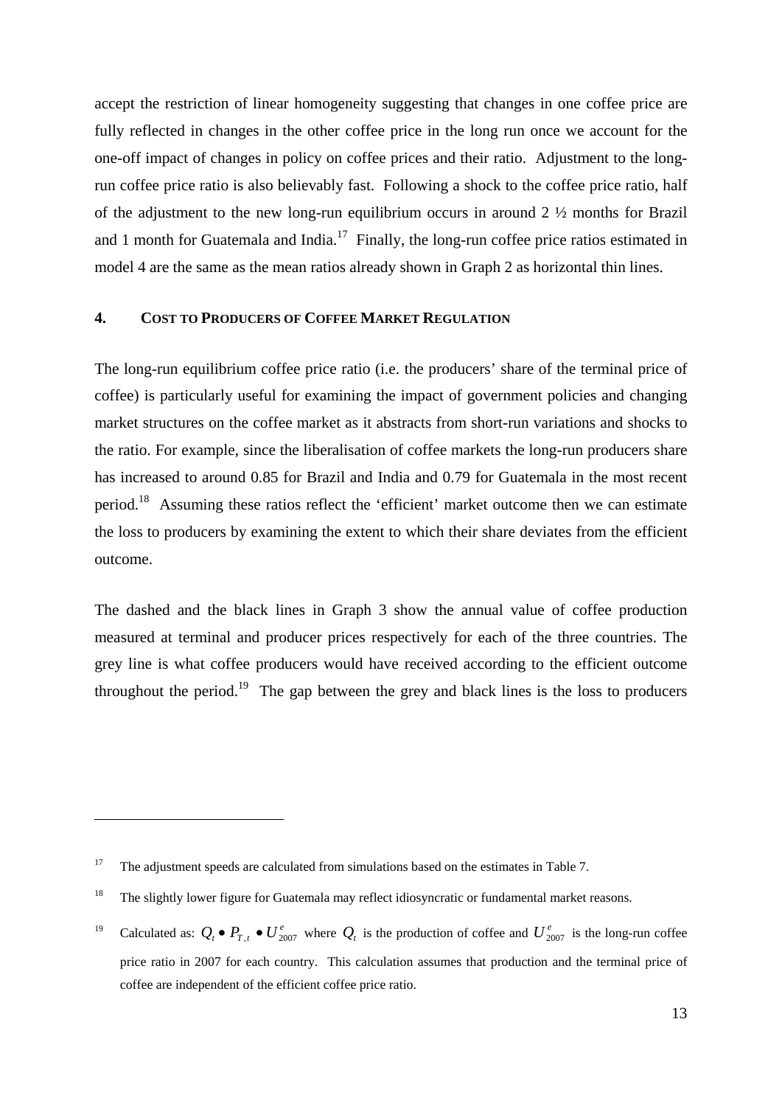accept the restriction of linear homogeneity suggesting that changes in one coffee price are fully reflected in changes in the other coffee price in the long run once we account for the one-off impact of changes in policy on coffee prices and their ratio. Adjustment to the longrun coffee price ratio is also believably fast. Following a shock to the coffee price ratio, half of the adjustment to the new long-run equilibrium occurs in around 2 ½ months for Brazil and 1 month for Guatemala and India.<sup>17</sup> Finally, the long-run coffee price ratios estimated in model 4 are the same as the mean ratios already shown in Graph 2 as horizontal thin lines.

#### **4. COST TO PRODUCERS OF COFFEE MARKET REGULATION**

The long-run equilibrium coffee price ratio (i.e. the producers' share of the terminal price of coffee) is particularly useful for examining the impact of government policies and changing market structures on the coffee market as it abstracts from short-run variations and shocks to the ratio. For example, since the liberalisation of coffee markets the long-run producers share has increased to around 0.85 for Brazil and India and 0.79 for Guatemala in the most recent period.18 Assuming these ratios reflect the 'efficient' market outcome then we can estimate the loss to producers by examining the extent to which their share deviates from the efficient outcome.

The dashed and the black lines in Graph 3 show the annual value of coffee production measured at terminal and producer prices respectively for each of the three countries. The grey line is what coffee producers would have received according to the efficient outcome throughout the period.<sup>19</sup> The gap between the grey and black lines is the loss to producers

<sup>&</sup>lt;sup>17</sup> The adjustment speeds are calculated from simulations based on the estimates in Table 7.

<sup>&</sup>lt;sup>18</sup> The slightly lower figure for Guatemala may reflect idiosyncratic or fundamental market reasons.

<sup>&</sup>lt;sup>19</sup> Calculated as:  $Q_t \bullet P_{T,t} \bullet U_{2007}^e$  where  $Q_t$  is the production of coffee and  $U_{2007}^e$  is the long-run coffee price ratio in 2007 for each country. This calculation assumes that production and the terminal price of coffee are independent of the efficient coffee price ratio.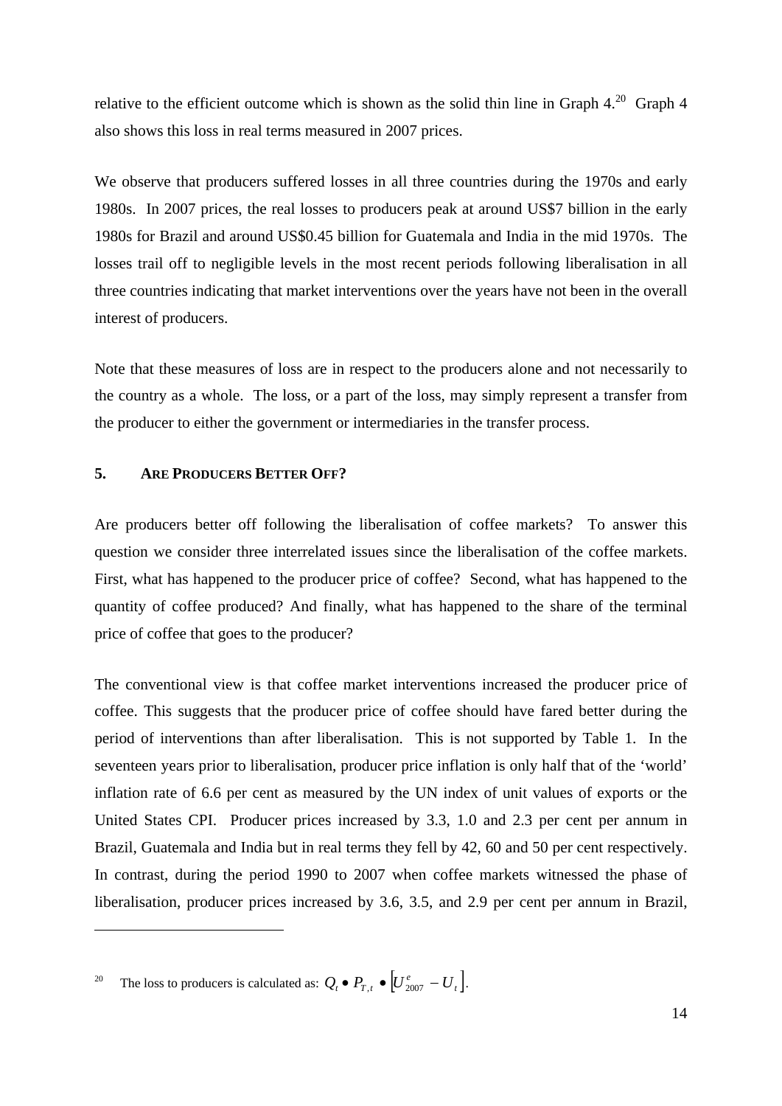relative to the efficient outcome which is shown as the solid thin line in Graph  $4.^{20}$  Graph 4 also shows this loss in real terms measured in 2007 prices.

We observe that producers suffered losses in all three countries during the 1970s and early 1980s. In 2007 prices, the real losses to producers peak at around US\$7 billion in the early 1980s for Brazil and around US\$0.45 billion for Guatemala and India in the mid 1970s. The losses trail off to negligible levels in the most recent periods following liberalisation in all three countries indicating that market interventions over the years have not been in the overall interest of producers.

Note that these measures of loss are in respect to the producers alone and not necessarily to the country as a whole. The loss, or a part of the loss, may simply represent a transfer from the producer to either the government or intermediaries in the transfer process.

#### **5. ARE PRODUCERS BETTER OFF?**

Are producers better off following the liberalisation of coffee markets? To answer this question we consider three interrelated issues since the liberalisation of the coffee markets. First, what has happened to the producer price of coffee? Second, what has happened to the quantity of coffee produced? And finally, what has happened to the share of the terminal price of coffee that goes to the producer?

The conventional view is that coffee market interventions increased the producer price of coffee. This suggests that the producer price of coffee should have fared better during the period of interventions than after liberalisation. This is not supported by Table 1. In the seventeen years prior to liberalisation, producer price inflation is only half that of the 'world' inflation rate of 6.6 per cent as measured by the UN index of unit values of exports or the United States CPI. Producer prices increased by 3.3, 1.0 and 2.3 per cent per annum in Brazil, Guatemala and India but in real terms they fell by 42, 60 and 50 per cent respectively. In contrast, during the period 1990 to 2007 when coffee markets witnessed the phase of liberalisation, producer prices increased by 3.6, 3.5, and 2.9 per cent per annum in Brazil,

<sup>20</sup> The loss to producers is calculated as:  $Q_t \bullet P_{T,t} \bullet \left[ U_{2007}^e - U_t \right]$ .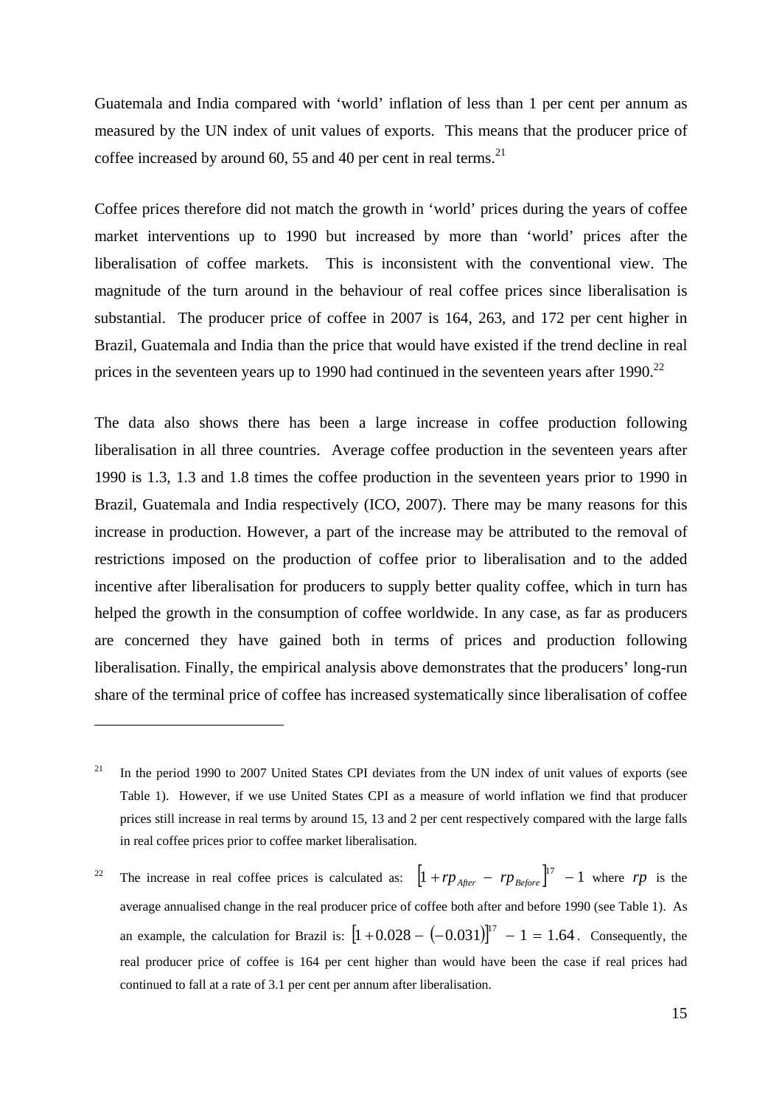Guatemala and India compared with 'world' inflation of less than 1 per cent per annum as measured by the UN index of unit values of exports. This means that the producer price of coffee increased by around 60, 55 and 40 per cent in real terms.<sup>21</sup>

Coffee prices therefore did not match the growth in 'world' prices during the years of coffee market interventions up to 1990 but increased by more than 'world' prices after the liberalisation of coffee markets. This is inconsistent with the conventional view. The magnitude of the turn around in the behaviour of real coffee prices since liberalisation is substantial. The producer price of coffee in 2007 is 164, 263, and 172 per cent higher in Brazil, Guatemala and India than the price that would have existed if the trend decline in real prices in the seventeen years up to 1990 had continued in the seventeen years after 1990.<sup>22</sup>

The data also shows there has been a large increase in coffee production following liberalisation in all three countries. Average coffee production in the seventeen years after 1990 is 1.3, 1.3 and 1.8 times the coffee production in the seventeen years prior to 1990 in Brazil, Guatemala and India respectively (ICO, 2007). There may be many reasons for this increase in production. However, a part of the increase may be attributed to the removal of restrictions imposed on the production of coffee prior to liberalisation and to the added incentive after liberalisation for producers to supply better quality coffee, which in turn has helped the growth in the consumption of coffee worldwide. In any case, as far as producers are concerned they have gained both in terms of prices and production following liberalisation. Finally, the empirical analysis above demonstrates that the producers' long-run share of the terminal price of coffee has increased systematically since liberalisation of coffee

<u>.</u>

<sup>&</sup>lt;sup>21</sup> In the period 1990 to 2007 United States CPI deviates from the UN index of unit values of exports (see Table 1). However, if we use United States CPI as a measure of world inflation we find that producer prices still increase in real terms by around 15, 13 and 2 per cent respectively compared with the large falls in real coffee prices prior to coffee market liberalisation.

<sup>&</sup>lt;sup>22</sup> The increase in real coffee prices is calculated as:  $\left[1 + rp_{After} - rp_{Before}\right]^{17} - 1$  where *rp* is the average annualised change in the real producer price of coffee both after and before 1990 (see Table 1). As an example, the calculation for Brazil is:  $[1 + 0.028 - (-0.031)]^{17} - 1 = 1.64$ . Consequently, the real producer price of coffee is 164 per cent higher than would have been the case if real prices had continued to fall at a rate of 3.1 per cent per annum after liberalisation.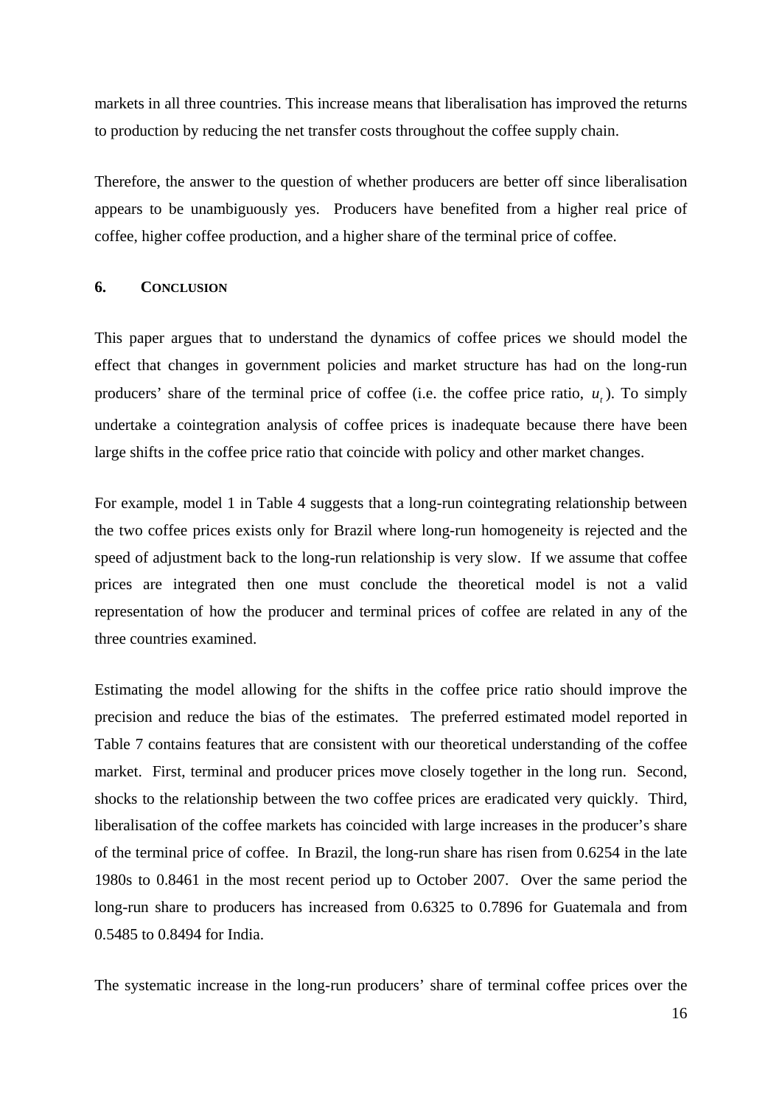markets in all three countries. This increase means that liberalisation has improved the returns to production by reducing the net transfer costs throughout the coffee supply chain.

Therefore, the answer to the question of whether producers are better off since liberalisation appears to be unambiguously yes. Producers have benefited from a higher real price of coffee, higher coffee production, and a higher share of the terminal price of coffee.

#### **6. CONCLUSION**

This paper argues that to understand the dynamics of coffee prices we should model the effect that changes in government policies and market structure has had on the long-run producers' share of the terminal price of coffee (i.e. the coffee price ratio,  $u_t$ ). To simply undertake a cointegration analysis of coffee prices is inadequate because there have been large shifts in the coffee price ratio that coincide with policy and other market changes.

For example, model 1 in Table 4 suggests that a long-run cointegrating relationship between the two coffee prices exists only for Brazil where long-run homogeneity is rejected and the speed of adjustment back to the long-run relationship is very slow. If we assume that coffee prices are integrated then one must conclude the theoretical model is not a valid representation of how the producer and terminal prices of coffee are related in any of the three countries examined.

Estimating the model allowing for the shifts in the coffee price ratio should improve the precision and reduce the bias of the estimates. The preferred estimated model reported in Table 7 contains features that are consistent with our theoretical understanding of the coffee market. First, terminal and producer prices move closely together in the long run. Second, shocks to the relationship between the two coffee prices are eradicated very quickly. Third, liberalisation of the coffee markets has coincided with large increases in the producer's share of the terminal price of coffee. In Brazil, the long-run share has risen from 0.6254 in the late 1980s to 0.8461 in the most recent period up to October 2007. Over the same period the long-run share to producers has increased from 0.6325 to 0.7896 for Guatemala and from 0.5485 to 0.8494 for India.

The systematic increase in the long-run producers' share of terminal coffee prices over the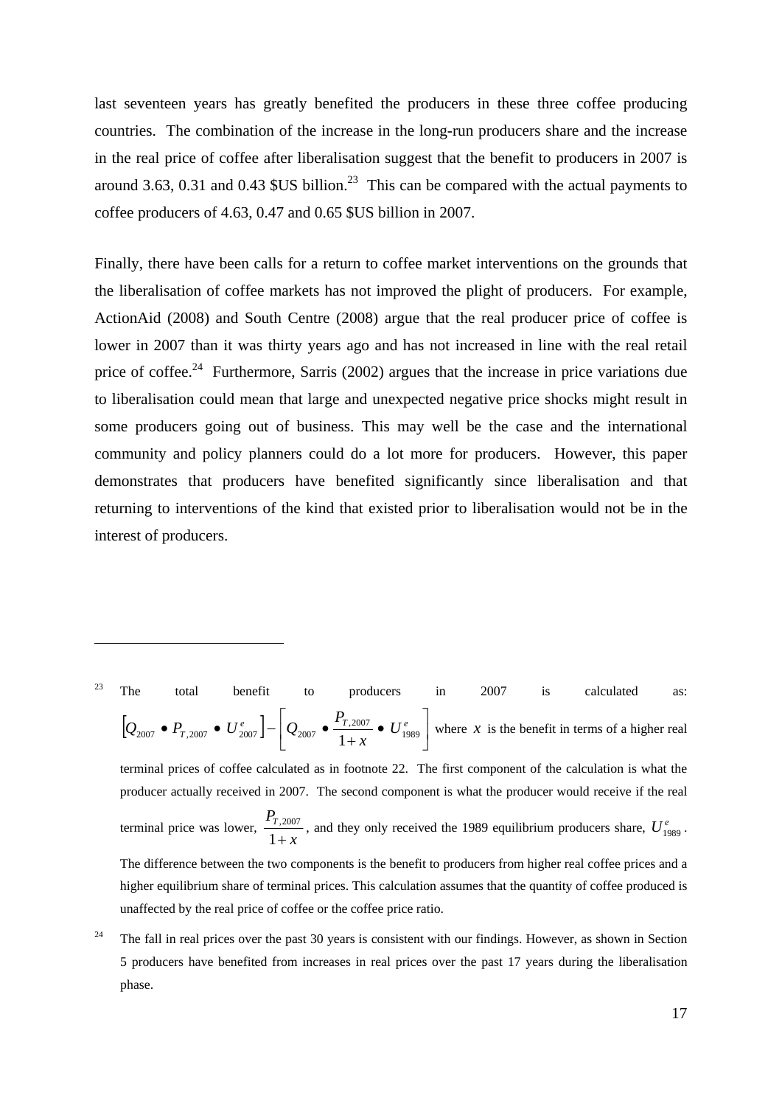last seventeen years has greatly benefited the producers in these three coffee producing countries. The combination of the increase in the long-run producers share and the increase in the real price of coffee after liberalisation suggest that the benefit to producers in 2007 is around 3.63, 0.31 and 0.43 \$US billion.<sup>23</sup> This can be compared with the actual payments to coffee producers of 4.63, 0.47 and 0.65 \$US billion in 2007.

Finally, there have been calls for a return to coffee market interventions on the grounds that the liberalisation of coffee markets has not improved the plight of producers. For example, ActionAid (2008) and South Centre (2008) argue that the real producer price of coffee is lower in 2007 than it was thirty years ago and has not increased in line with the real retail price of coffee.<sup>24</sup> Furthermore, Sarris (2002) argues that the increase in price variations due to liberalisation could mean that large and unexpected negative price shocks might result in some producers going out of business. This may well be the case and the international community and policy planners could do a lot more for producers. However, this paper demonstrates that producers have benefited significantly since liberalisation and that returning to interventions of the kind that existed prior to liberalisation would not be in the interest of producers.

<sup>23</sup> The total benefit to producers in  $2007$  is calculated as:  $[ Q_{2007} \bullet P_{T,2007} \bullet U_{2007}^e] - [ Q_{2007} \bullet \frac{1}{1+1} \bullet U_{1989}^e]$  $\overline{\phantom{a}}$  $Q_{2007} \bullet \frac{P_{T,2007}}{1+z} \bullet U_{1989}^e$ •  $P_{T,2007}$  •  $U_{2007}^e$   $\left[\n\frac{Q_{2007}}{1+x}\n\right]\n\left[\n\frac{P_{T,2007}}{1+x}\n\right]\n\left[\nU_{11}^e\right]$ *P*  $Q_{2007}$   $\bullet$   $P_{T,2007}$   $\bullet$   $U_{2007}^e$   $\Big] - \Big| Q_{2007}$   $\bullet$   $\frac{I_{T,2007}}{1}$   $\bullet$   $U_{1989}^e$ 2007  $\bullet$   $P_{T,2007}$   $\bullet$   $U_{2007}^e$   $\bullet$   $\frac{2007}{1+x}$   $\bullet$   $U_{1989}^e$  where *x* is the benefit in terms of a higher real terminal prices of coffee calculated as in footnote 22. The first component of the calculation is what the producer actually received in 2007. The second component is what the producer would receive if the real terminal price was lower,  $\frac{1,200}{1+x}$ *P<sub>T</sub>*  $\frac{1 + T,2007}{1 + x}$ , and they only received the 1989 equilibrium producers share,  $U_{1989}^e$ . The difference between the two components is the benefit to producers from higher real coffee prices and a higher equilibrium share of terminal prices. This calculation assumes that the quantity of coffee produced is unaffected by the real price of coffee or the coffee price ratio.

1

<sup>24</sup> The fall in real prices over the past 30 years is consistent with our findings. However, as shown in Section 5 producers have benefited from increases in real prices over the past 17 years during the liberalisation phase.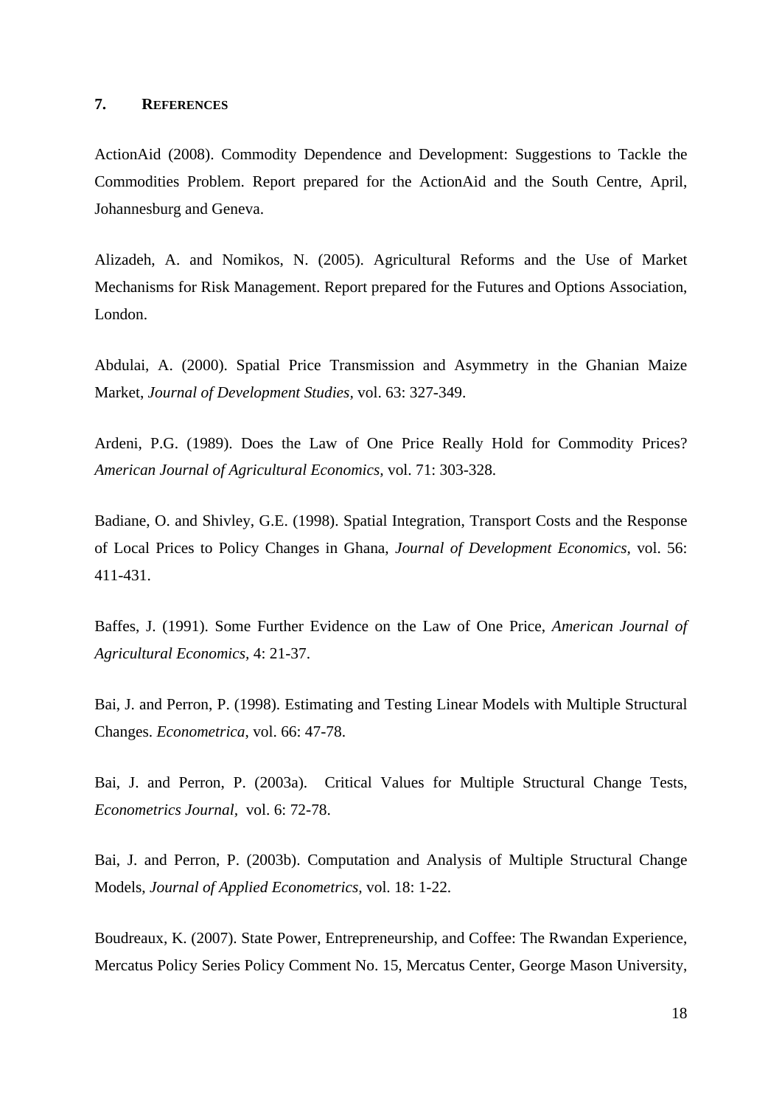#### **7. REFERENCES**

ActionAid (2008). Commodity Dependence and Development: Suggestions to Tackle the Commodities Problem. Report prepared for the ActionAid and the South Centre, April, Johannesburg and Geneva.

Alizadeh, A. and Nomikos, N. (2005). Agricultural Reforms and the Use of Market Mechanisms for Risk Management. Report prepared for the Futures and Options Association, London.

Abdulai, A. (2000). Spatial Price Transmission and Asymmetry in the Ghanian Maize Market, *Journal of Development Studies,* vol. 63: 327-349.

Ardeni, P.G. (1989). Does the Law of One Price Really Hold for Commodity Prices? *American Journal of Agricultural Economics,* vol. 71: 303-328.

Badiane, O. and Shivley, G.E. (1998). Spatial Integration, Transport Costs and the Response of Local Prices to Policy Changes in Ghana, *Journal of Development Economics,* vol. 56: 411-431.

Baffes, J. (1991). Some Further Evidence on the Law of One Price, *American Journal of Agricultural Economics,* 4: 21-37.

Bai, J. and Perron, P. (1998). Estimating and Testing Linear Models with Multiple Structural Changes. *Econometrica*, vol. 66: 47-78.

Bai, J. and Perron, P. (2003a). Critical Values for Multiple Structural Change Tests, *Econometrics Journal,* vol. 6: 72-78.

Bai, J. and Perron, P. (2003b). Computation and Analysis of Multiple Structural Change Models, *Journal of Applied Econometrics,* vol. 18: 1-22.

Boudreaux, K. (2007). State Power, Entrepreneurship, and Coffee: The Rwandan Experience, Mercatus Policy Series Policy Comment No. 15, Mercatus Center, George Mason University,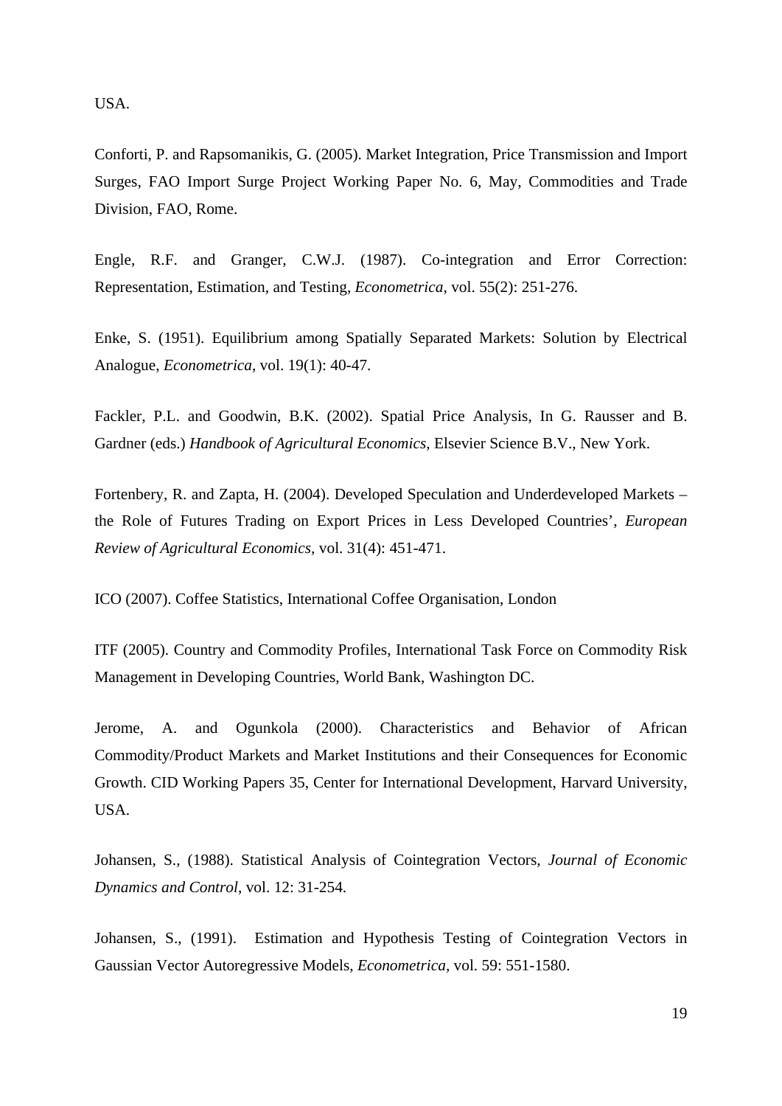USA.

Conforti, P. and Rapsomanikis, G. (2005). Market Integration, Price Transmission and Import Surges, FAO Import Surge Project Working Paper No. 6, May, Commodities and Trade Division, FAO, Rome.

Engle, R.F. and Granger, C.W.J. (1987). Co-integration and Error Correction: Representation, Estimation, and Testing, *Econometrica*, vol. 55(2): 251-276.

Enke, S. (1951). Equilibrium among Spatially Separated Markets: Solution by Electrical Analogue, *Econometrica*, vol. 19(1): 40-47.

Fackler, P.L. and Goodwin, B.K. (2002). Spatial Price Analysis, In G. Rausser and B. Gardner (eds.) *Handbook of Agricultural Economics*, Elsevier Science B.V., New York.

Fortenbery, R. and Zapta, H. (2004). Developed Speculation and Underdeveloped Markets – the Role of Futures Trading on Export Prices in Less Developed Countries', *European Review of Agricultural Economics,* vol. 31(4): 451-471.

ICO (2007). Coffee Statistics, International Coffee Organisation, London

ITF (2005). Country and Commodity Profiles, International Task Force on Commodity Risk Management in Developing Countries, World Bank, Washington DC.

Jerome, A. and Ogunkola (2000). Characteristics and Behavior of African Commodity/Product Markets and Market Institutions and their Consequences for Economic Growth. CID Working Papers 35, Center for International Development, Harvard University, USA.

Johansen, S., (1988). Statistical Analysis of Cointegration Vectors, *Journal of Economic Dynamics and Control*, vol. 12: 31-254.

Johansen, S., (1991). Estimation and Hypothesis Testing of Cointegration Vectors in Gaussian Vector Autoregressive Models, *Econometrica,* vol. 59: 551-1580.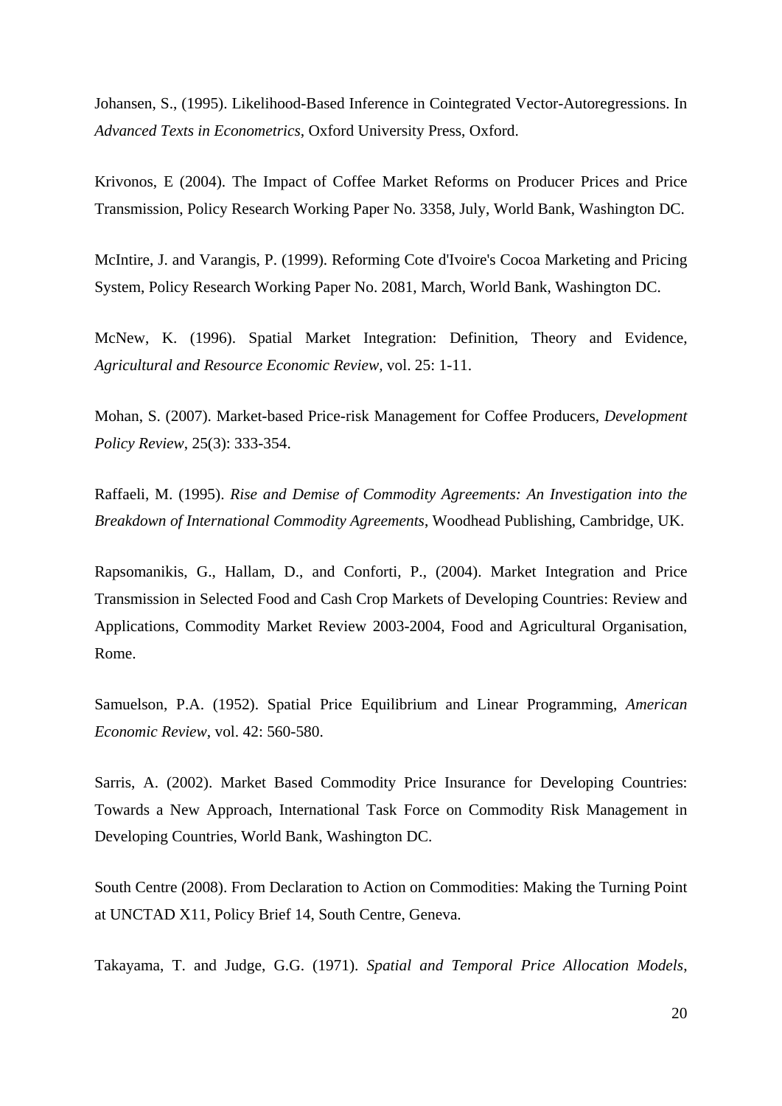Johansen, S., (1995). Likelihood-Based Inference in Cointegrated Vector-Autoregressions. In *Advanced Texts in Econometrics*, Oxford University Press, Oxford.

Krivonos, E (2004). The Impact of Coffee Market Reforms on Producer Prices and Price Transmission, Policy Research Working Paper No. 3358, July, World Bank, Washington DC.

McIntire, J. and Varangis, P. (1999). Reforming Cote d'Ivoire's Cocoa Marketing and Pricing System, Policy Research Working Paper No. 2081, March, World Bank, Washington DC.

McNew, K. (1996). Spatial Market Integration: Definition, Theory and Evidence, *Agricultural and Resource Economic Review,* vol. 25: 1-11.

Mohan, S. (2007). Market-based Price-risk Management for Coffee Producers, *Development Policy Review*, 25(3): 333-354.

Raffaeli, M. (1995). *Rise and Demise of Commodity Agreements: An Investigation into the Breakdown of International Commodity Agreements*, Woodhead Publishing, Cambridge, UK.

Rapsomanikis, G., Hallam, D., and Conforti, P., (2004). Market Integration and Price Transmission in Selected Food and Cash Crop Markets of Developing Countries: Review and Applications, Commodity Market Review 2003-2004, Food and Agricultural Organisation, Rome.

Samuelson, P.A. (1952). Spatial Price Equilibrium and Linear Programming, *American Economic Review*, vol. 42: 560-580.

Sarris, A. (2002). Market Based Commodity Price Insurance for Developing Countries: Towards a New Approach, International Task Force on Commodity Risk Management in Developing Countries, World Bank, Washington DC.

South Centre (2008). From Declaration to Action on Commodities: Making the Turning Point at UNCTAD X11, Policy Brief 14, South Centre, Geneva.

Takayama, T. and Judge, G.G. (1971). *Spatial and Temporal Price Allocation Models*,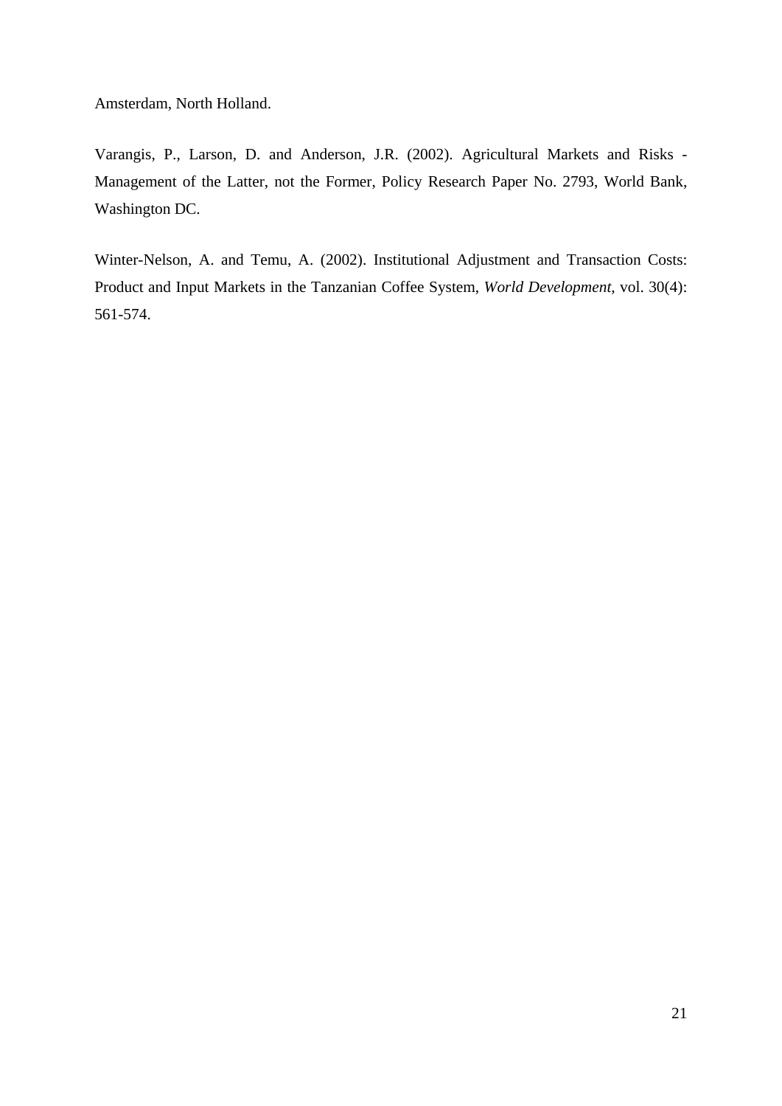Amsterdam, North Holland.

Varangis, P., Larson, D. and Anderson, J.R. (2002). Agricultural Markets and Risks - Management of the Latter, not the Former, Policy Research Paper No. 2793, World Bank, Washington DC.

Winter-Nelson, A. and Temu, A. (2002). Institutional Adjustment and Transaction Costs: Product and Input Markets in the Tanzanian Coffee System, *World Development,* vol. 30(4): 561-574.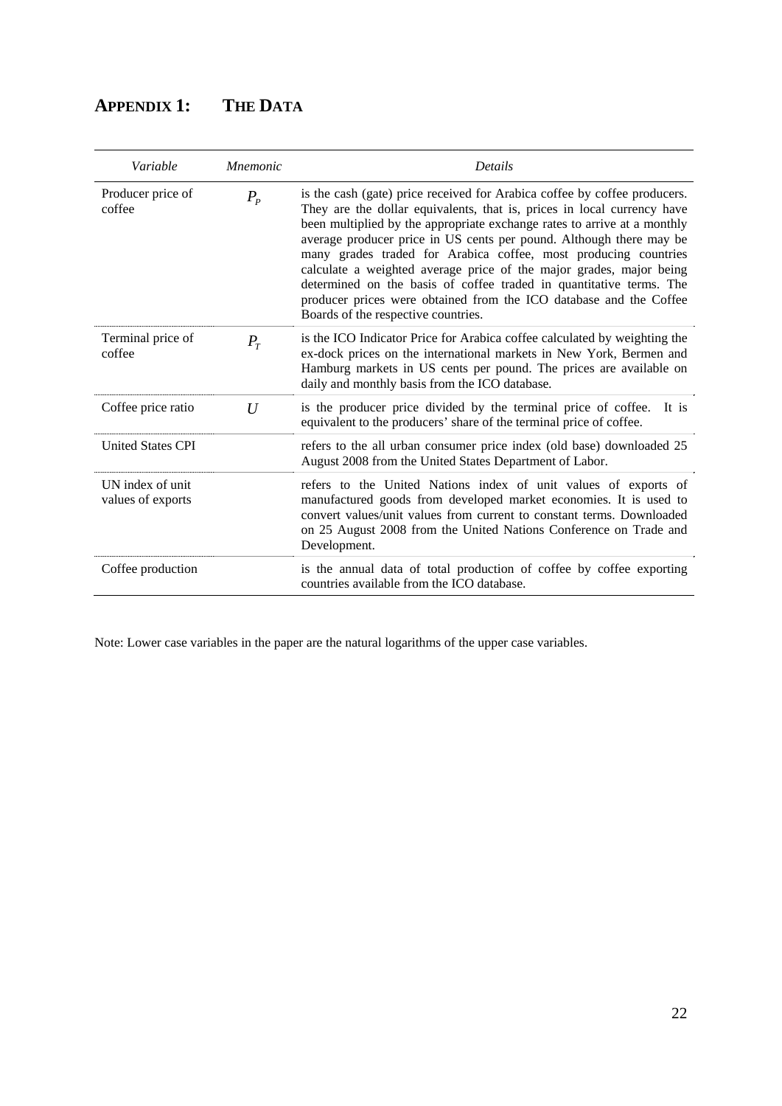## **APPENDIX 1: THE DATA**

| Variable                              | <i>Mnemonic</i> | Details                                                                                                                                                                                                                                                                                                                                                                                                                                                                                                                                                                                                                               |
|---------------------------------------|-----------------|---------------------------------------------------------------------------------------------------------------------------------------------------------------------------------------------------------------------------------------------------------------------------------------------------------------------------------------------------------------------------------------------------------------------------------------------------------------------------------------------------------------------------------------------------------------------------------------------------------------------------------------|
| Producer price of<br>coffee           | $P_{P}$         | is the cash (gate) price received for Arabica coffee by coffee producers.<br>They are the dollar equivalents, that is, prices in local currency have<br>been multiplied by the appropriate exchange rates to arrive at a monthly<br>average producer price in US cents per pound. Although there may be<br>many grades traded for Arabica coffee, most producing countries<br>calculate a weighted average price of the major grades, major being<br>determined on the basis of coffee traded in quantitative terms. The<br>producer prices were obtained from the ICO database and the Coffee<br>Boards of the respective countries. |
| Terminal price of<br>coffee           | $P_T$           | is the ICO Indicator Price for Arabica coffee calculated by weighting the<br>ex-dock prices on the international markets in New York, Bermen and<br>Hamburg markets in US cents per pound. The prices are available on<br>daily and monthly basis from the ICO database.                                                                                                                                                                                                                                                                                                                                                              |
| Coffee price ratio                    | $\overline{U}$  | is the producer price divided by the terminal price of coffee. It is<br>equivalent to the producers' share of the terminal price of coffee.                                                                                                                                                                                                                                                                                                                                                                                                                                                                                           |
| <b>United States CPI</b>              |                 | refers to the all urban consumer price index (old base) downloaded 25<br>August 2008 from the United States Department of Labor.                                                                                                                                                                                                                                                                                                                                                                                                                                                                                                      |
| UN index of unit<br>values of exports |                 | refers to the United Nations index of unit values of exports of<br>manufactured goods from developed market economies. It is used to<br>convert values/unit values from current to constant terms. Downloaded<br>on 25 August 2008 from the United Nations Conference on Trade and<br>Development.                                                                                                                                                                                                                                                                                                                                    |
| Coffee production                     |                 | is the annual data of total production of coffee by coffee exporting<br>countries available from the ICO database.                                                                                                                                                                                                                                                                                                                                                                                                                                                                                                                    |

Note: Lower case variables in the paper are the natural logarithms of the upper case variables.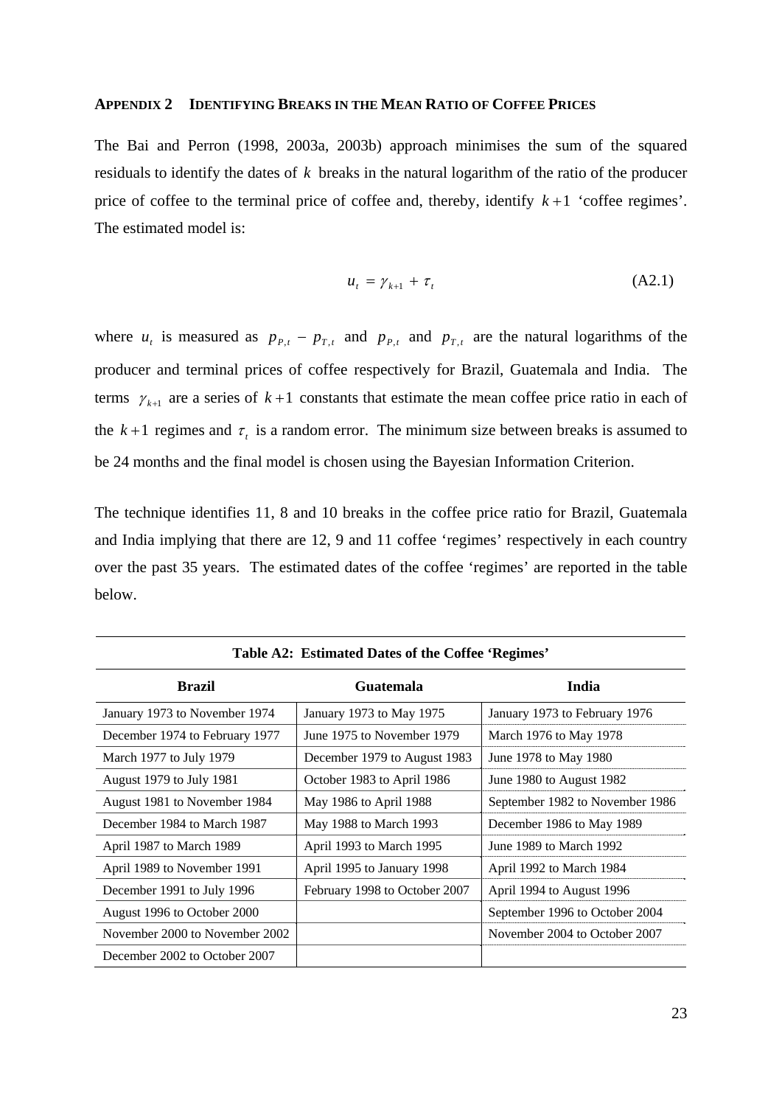#### **APPENDIX 2 IDENTIFYING BREAKS IN THE MEAN RATIO OF COFFEE PRICES**

The Bai and Perron (1998, 2003a, 2003b) approach minimises the sum of the squared residuals to identify the dates of *k* breaks in the natural logarithm of the ratio of the producer price of coffee to the terminal price of coffee and, thereby, identify  $k+1$  'coffee regimes'. The estimated model is:

$$
u_t = \gamma_{k+1} + \tau_t \tag{A2.1}
$$

where  $u_t$  is measured as  $p_{p,t} - p_{T,t}$  and  $p_{p,t}$  and  $p_{T,t}$  are the natural logarithms of the producer and terminal prices of coffee respectively for Brazil, Guatemala and India. The terms  $\gamma_{k+1}$  are a series of  $k+1$  constants that estimate the mean coffee price ratio in each of the  $k+1$  regimes and  $\tau_t$  is a random error. The minimum size between breaks is assumed to be 24 months and the final model is chosen using the Bayesian Information Criterion.

The technique identifies 11, 8 and 10 breaks in the coffee price ratio for Brazil, Guatemala and India implying that there are 12, 9 and 11 coffee 'regimes' respectively in each country over the past 35 years. The estimated dates of the coffee 'regimes' are reported in the table below.

| Table A2: Estimated Dates of the Coffee 'Regimes' |                               |                                 |  |  |  |  |  |  |  |
|---------------------------------------------------|-------------------------------|---------------------------------|--|--|--|--|--|--|--|
| <b>Brazil</b>                                     | Guatemala                     | India                           |  |  |  |  |  |  |  |
| January 1973 to November 1974                     | January 1973 to May 1975      | January 1973 to February 1976   |  |  |  |  |  |  |  |
| December 1974 to February 1977                    | June 1975 to November 1979    | March 1976 to May 1978          |  |  |  |  |  |  |  |
| March 1977 to July 1979                           | December 1979 to August 1983  | June 1978 to May 1980           |  |  |  |  |  |  |  |
| August 1979 to July 1981                          | October 1983 to April 1986    | June 1980 to August 1982        |  |  |  |  |  |  |  |
| August 1981 to November 1984                      | May 1986 to April 1988        | September 1982 to November 1986 |  |  |  |  |  |  |  |
| December 1984 to March 1987                       | May 1988 to March 1993        | December 1986 to May 1989       |  |  |  |  |  |  |  |
| April 1987 to March 1989                          | April 1993 to March 1995      | June 1989 to March 1992         |  |  |  |  |  |  |  |
| April 1989 to November 1991                       | April 1995 to January 1998    | April 1992 to March 1984        |  |  |  |  |  |  |  |
| December 1991 to July 1996                        | February 1998 to October 2007 | April 1994 to August 1996       |  |  |  |  |  |  |  |
| August 1996 to October 2000                       |                               | September 1996 to October 2004  |  |  |  |  |  |  |  |
| November 2000 to November 2002                    |                               | November 2004 to October 2007   |  |  |  |  |  |  |  |
| December 2002 to October 2007                     |                               |                                 |  |  |  |  |  |  |  |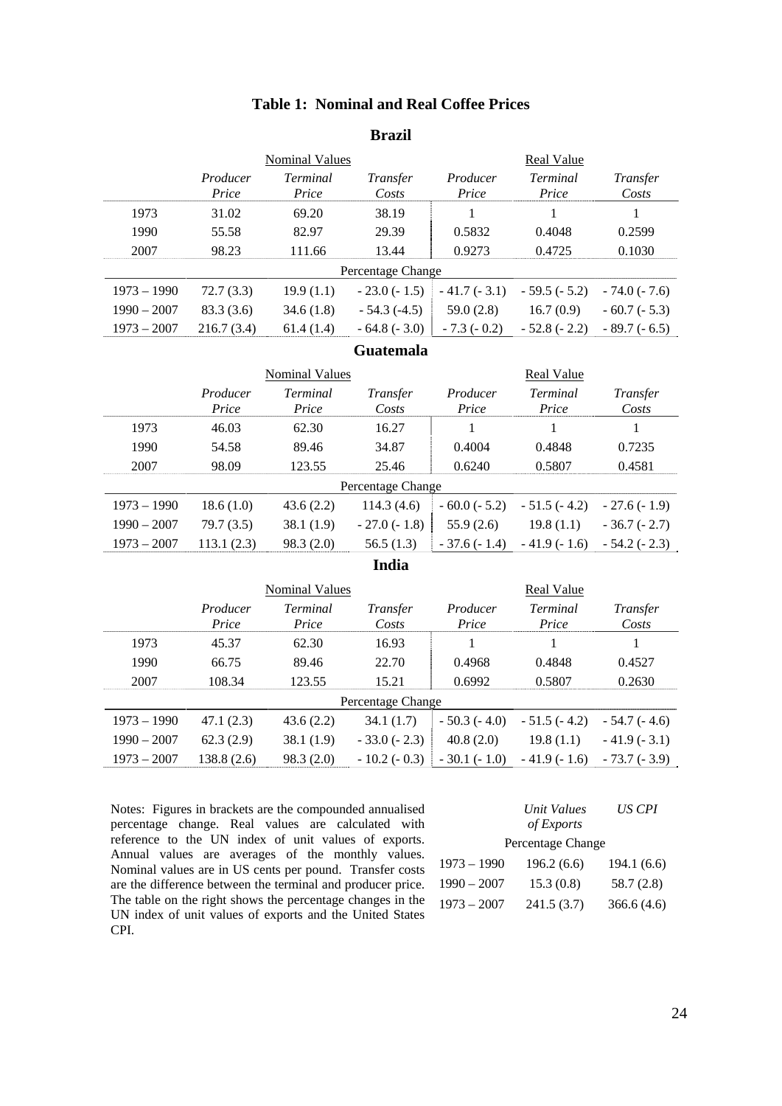#### **Table 1: Nominal and Real Coffee Prices**

#### **Brazil**

|               |                   | <b>Nominal Values</b>    |                   |                   | Real Value        |                   |
|---------------|-------------------|--------------------------|-------------------|-------------------|-------------------|-------------------|
|               | Producer<br>Price | <i>Terminal</i><br>Price | Transfer<br>Costs | Producer<br>Price | Terminal<br>Price | Transfer<br>Costs |
| 1973          | 31.02             | 69.20                    | 38.19             |                   |                   |                   |
| 1990          | 55.58             | 82.97                    | 29.39             | 0.5832            | 0.4048            | 0.2599            |
| 2007          | 98.23             | 111.66                   | 13.44             | 0.9273            | 0.4725            | 0.1030            |
|               |                   |                          | Percentage Change |                   |                   |                   |
| $1973 - 1990$ | 72.7(3.3)         | 19.9(1.1)                | $-23.0(-1.5)$     | $-41.7(-3.1)$     | $-59.5(-5.2)$     | $-74.0(-7.6)$     |
| $1990 - 2007$ | 83.3 (3.6)        | 34.6(1.8)                | $-54.3(-4.5)$     | 59.0(2.8)         | 16.7(0.9)         | $-60.7(-5.3)$     |
| $1973 - 2007$ | 216.7(3.4)        | 61.4(1.4)                | $-64.8(-3.0)$     | $-7.3(-0.2)$      | $-52.8(-2.2)$     | $-89.7(-6.5)$     |

#### **Guatemala**

|               |                   | <b>Nominal Values</b>    |                   | Real Value        |                   |                   |  |
|---------------|-------------------|--------------------------|-------------------|-------------------|-------------------|-------------------|--|
|               | Producer<br>Price | <i>Terminal</i><br>Price | Transfer<br>Costs | Producer<br>Price | Terminal<br>Price | Transfer<br>Costs |  |
| 1973          | 46.03             | 62.30                    | 16.27             |                   |                   |                   |  |
| 1990          | 54.58             | 89.46                    | 34.87             | 0.4004            | 0.4848            | 0.7235            |  |
| 2007          | 98.09             | 123.55                   | 25.46             | 0.6240            | 0.5807            | 0.4581            |  |
|               |                   |                          | Percentage Change |                   |                   |                   |  |
| $1973 - 1990$ | 18.6(1.0)         | 43.6(2.2)                | 114.3(4.6)        | $-60.0(-5.2)$     | $-51.5(-4.2)$     | $-27.6(-1.9)$     |  |
| $1990 - 2007$ | 79.7(3.5)         | 38.1(1.9)                | $-27.0(-1.8)$     | 55.9(2.6)         | 19.8(1.1)         | $-36.7(-2.7)$     |  |
| $1973 - 2007$ | 113.1(2.3)        | 98.3(2.0)                | 56.5(1.3)         | $-37.6(-1.4)$     | $-41.9(-1.6)$     | $-54.2(-2.3)$     |  |

**India** 

|               |                   | <b>Nominal Values</b>    |                   | Real Value        |                   |                   |  |
|---------------|-------------------|--------------------------|-------------------|-------------------|-------------------|-------------------|--|
|               | Producer<br>Price | <i>Terminal</i><br>Price | Transfer<br>Costs | Producer<br>Price | Terminal<br>Price | Transfer<br>Costs |  |
| 1973          | 45.37             | 62.30                    | 16.93             |                   |                   |                   |  |
| 1990          | 66.75             | 89.46                    | 22.70             | 0.4968            | 0.4848            | 0.4527            |  |
| 2007          | 108.34            | 123.55                   | 15.21             | 0.6992            | 0.5807            | 0.2630            |  |
|               |                   |                          | Percentage Change |                   |                   |                   |  |
| $1973 - 1990$ | 47.1 $(2.3)$      | 43.6(2.2)                | 34.1 (1.7)        | $-50.3(-4.0)$     | $-51.5(-4.2)$     | $-54.7(-4.6)$     |  |
| $1990 - 2007$ | 62.3(2.9)         | 38.1(1.9)                | $-33.0(-2.3)$     | 40.8(2.0)         | 19.8(1.1)         | $-41.9(-3.1)$     |  |
| $1973 - 2007$ | 138.8(2.6)        | 98.3(2.0)                | $-10.2(-0.3)$     | $-30.1(-1.0)$     | $-41.9(-1.6)$     | $-73.7(-3.9)$     |  |

Notes: Figures in brackets are the compounded annualised percentage change. Real values are calculated with reference to the UN index of unit values of exports. Annual values are averages of the monthly values. Nominal values are in US cents per pound. Transfer costs are the difference between the terminal and producer price. The table on the right shows the percentage changes in the UN index of unit values of exports and the United States CPI.

|               | Unit Values       | US CPI      |
|---------------|-------------------|-------------|
|               | of Exports        |             |
|               | Percentage Change |             |
| $1973 - 1990$ | 196.2 (6.6)       | 194.1 (6.6) |
| $1990 - 2007$ | 15.3(0.8)         | 58.7(2.8)   |
| $1973 - 2007$ | 241.5 (3.7)       | 366.6(4.6)  |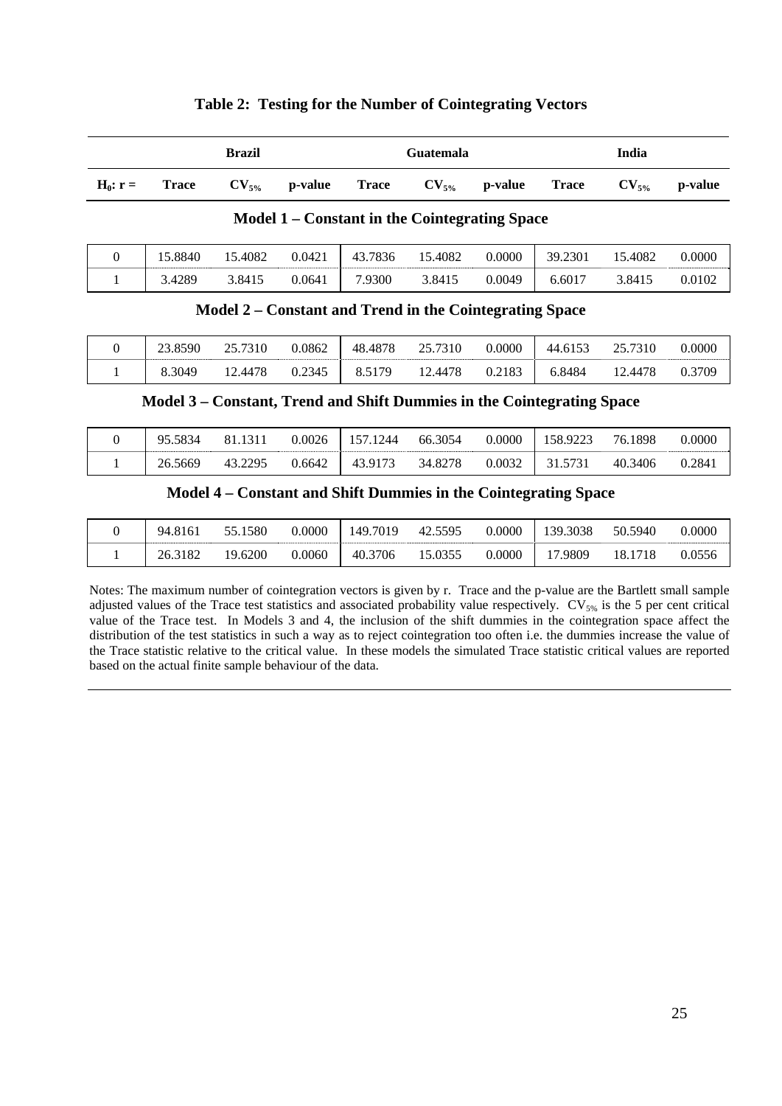|            | <b>Brazil</b> |  |                                                   | <b>Guatemala</b> |  |  | India |  |                    |
|------------|---------------|--|---------------------------------------------------|------------------|--|--|-------|--|--------------------|
| $H_0: r =$ | Trace         |  | $CV_{5\%}$ p-value Trace $CV_{5\%}$ p-value Trace |                  |  |  |       |  | $CV_{5\%}$ p-value |

#### **Table 2: Testing for the Number of Cointegrating Vectors**

#### **Model 1 – Constant in the Cointegrating Space**

| .8840 | .4082  | 0.0421 | 7836<br>′⊥ ⊥ | .4082  | 0.0000 | 0.2301<br>39. | .4082  | 0.0000 |
|-------|--------|--------|--------------|--------|--------|---------------|--------|--------|
| 4289  | 3.8415 | :064). | .9300        | 3.8415 | 0.0049 | -6017.ر       | 3.8415 | 0.0102 |

#### **Model 2 – Constant and Trend in the Cointegrating Space**

| 23.8590 | 25.7310 | 0.0862 | 48.4878 | 25.7310 | 0.0000 | 44.6153 | 25.7310 | 0.0000 |
|---------|---------|--------|---------|---------|--------|---------|---------|--------|
| 8.3049  | 12.4478 | 0.2345 | 8.5179  | 12.4478 | 0.2183 | 6.8484  | 12.4478 | 0.3709 |

#### **Model 3 – Constant, Trend and Shift Dummies in the Cointegrating Space**

| 95.5834 | 81.1311 | 0.0026 | 157.1244 | 66.3054 | 0.0000 | 158.9223 | 76.1898 | 0.0000 |
|---------|---------|--------|----------|---------|--------|----------|---------|--------|
| 26.5669 | 43.2295 | 0.6642 | 43.9173  | 34.8278 | 0.0032 | 31.5731  | 40.3406 | 0.284. |

#### **Model 4 – Constant and Shift Dummies in the Cointegrating Space**

| .8161<br>94 | 1580<br>55<br>◡ ◡ ៶ | 0.0000 | 149.7019 | 5595<br>$42^{\circ}$ | 0.0000 | 39.3038 | 50.5940   | 0.0000 |
|-------------|---------------------|--------|----------|----------------------|--------|---------|-----------|--------|
| 182<br>26.3 | .6200               | 0.0060 | 40.3706  | 5.0355               | 0.0000 | .9809   | 18<br>18. | 0.0556 |

Notes: The maximum number of cointegration vectors is given by r. Trace and the p-value are the Bartlett small sample adjusted values of the Trace test statistics and associated probability value respectively. CV<sub>5%</sub> is the 5 per cent critical value of the Trace test. In Models 3 and 4, the inclusion of the shift dummies in the cointegration space affect the distribution of the test statistics in such a way as to reject cointegration too often i.e. the dummies increase the value of the Trace statistic relative to the critical value. In these models the simulated Trace statistic critical values are reported based on the actual finite sample behaviour of the data.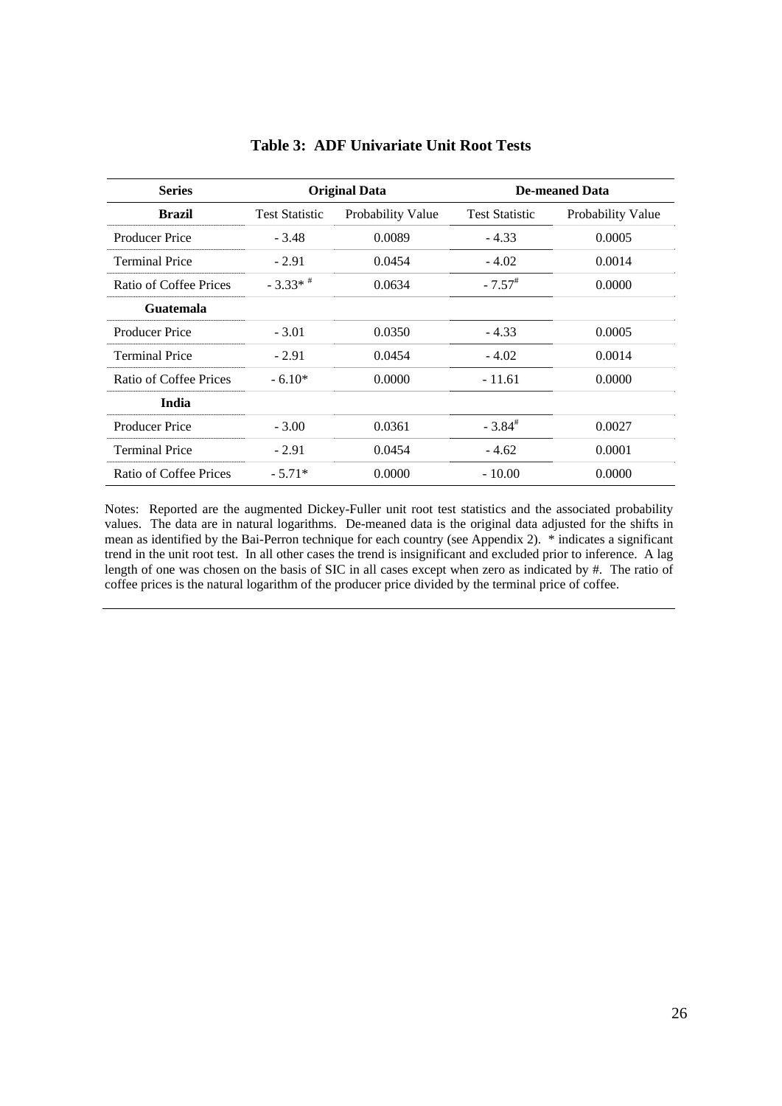| <b>Series</b>          |                       | <b>Original Data</b> |                       | <b>De-meaned Data</b> |
|------------------------|-----------------------|----------------------|-----------------------|-----------------------|
| Brazil                 | <b>Test Statistic</b> | Probability Value    | <b>Test Statistic</b> | Probability Value     |
| <b>Producer Price</b>  | $-3.48$               | 0.0089               | $-4.33$               | 0.0005                |
| <b>Terminal Price</b>  | $-2.91$               | 0.0454               | $-4.02$               | 0.0014                |
| Ratio of Coffee Prices | $-3.33*$              | 0.0634               | $-7.57$ <sup>#</sup>  | 0.0000                |
| Guatemala              |                       |                      |                       |                       |
| <b>Producer Price</b>  | $-3.01$               | 0.0350               | $-4.33$               | 0.0005                |
| <b>Terminal Price</b>  | $-2.91$               | 0.0454               | $-4.02$               | 0.0014                |
| Ratio of Coffee Prices | $-6.10*$              | 0.0000               | - 11.61               | 0.0000                |
| <b>India</b>           |                       |                      |                       |                       |
| <b>Producer Price</b>  | $-3.00$               | 0.0361               | $-3.84$ <sup>#</sup>  | 0.0027                |
| <b>Terminal Price</b>  | $-2.91$               | 0.0454               | $-4.62$               | 0.0001                |
| Ratio of Coffee Prices | $-5.71*$              | 0.0000               | $-10.00$              | 0.0000                |

#### **Table 3: ADF Univariate Unit Root Tests**

Notes: Reported are the augmented Dickey-Fuller unit root test statistics and the associated probability values. The data are in natural logarithms. De-meaned data is the original data adjusted for the shifts in mean as identified by the Bai-Perron technique for each country (see Appendix 2). \* indicates a significant trend in the unit root test. In all other cases the trend is insignificant and excluded prior to inference. A lag length of one was chosen on the basis of SIC in all cases except when zero as indicated by #. The ratio of coffee prices is the natural logarithm of the producer price divided by the terminal price of coffee.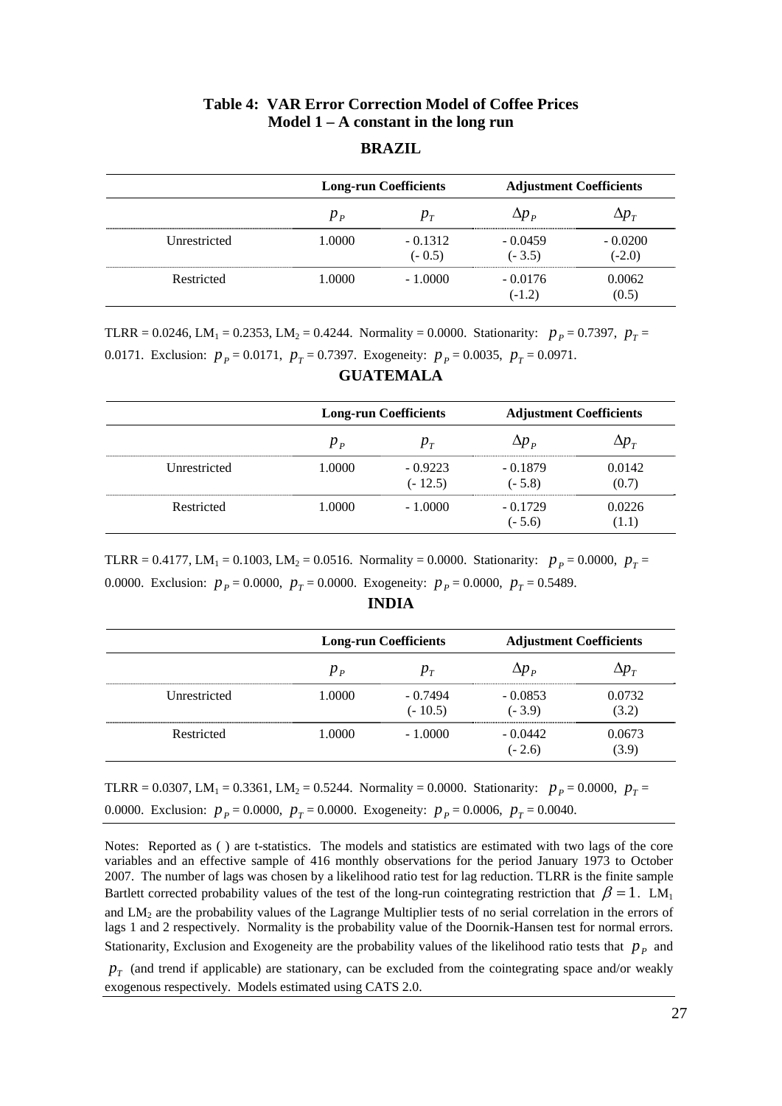### **Table 4: VAR Error Correction Model of Coffee Prices Model 1 – A constant in the long run**

#### **BRAZIL**

|              |         | <b>Long-run Coefficients</b> |                                       | <b>Adjustment Coefficients</b>    |
|--------------|---------|------------------------------|---------------------------------------|-----------------------------------|
|              | $p_{p}$ | $p_{\tau}$                   | $\Delta p$ $_{\scriptscriptstyle{p}}$ | $\Delta p_{\scriptscriptstyle T}$ |
| Unrestricted | 1.0000  | $-0.1312$<br>$(-0.5)$        | $-0.0459$<br>$(-3.5)$                 | $-0.0200$<br>$(-2.0)$             |
| Restricted   | 1.0000  | $-1.0000$                    | $-0.0176$<br>$(-1.2)$                 | 0.0062<br>(0.5)                   |

TLRR = 0.0246, LM<sub>1</sub> = 0.2353, LM<sub>2</sub> = 0.4244. Normality = 0.0000. Stationarity:  $p_p = 0.7397$ ,  $p_T =$ 0.0171. Exclusion:  $p_p = 0.0171$ ,  $p_T = 0.7397$ . Exogeneity:  $p_p = 0.0035$ ,  $p_T = 0.0971$ .

|              | <b>Long-run Coefficients</b> |                        | <b>Adjustment Coefficients</b>        |                                   |  |
|--------------|------------------------------|------------------------|---------------------------------------|-----------------------------------|--|
|              | $p_{p}$                      | $p_{T}$                | $\Delta p$ $_{\scriptscriptstyle{D}}$ | $\Delta p_{\scriptscriptstyle T}$ |  |
| Unrestricted | 1.0000                       | $-0.9223$<br>$(-12.5)$ | $-0.1879$<br>$(-5.8)$                 | 0.0142<br>(0.7)                   |  |
| Restricted   | 1.0000                       | $-1.0000$              | $-0.1729$<br>$(-5.6)$                 | 0.0226<br>(1.1)                   |  |

#### **GUATEMALA**

TLRR = 0.4177, LM<sub>1</sub> = 0.1003, LM<sub>2</sub> = 0.0516. Normality = 0.0000. Stationarity:  $p_p = 0.0000$ ,  $p_T =$ 0.0000. Exclusion:  $p_p = 0.0000$ ,  $p_T = 0.0000$ . Exogeneity:  $p_p = 0.0000$ ,  $p_T = 0.5489$ .

|              | <b>Long-run Coefficients</b> |                        | <b>Adjustment Coefficients</b> |                                   |  |
|--------------|------------------------------|------------------------|--------------------------------|-----------------------------------|--|
|              | $p_{p}$                      | $p_{\tau}$             | $\Delta p$ $_{p}$              | $\Delta p_{\scriptscriptstyle T}$ |  |
| Unrestricted | 1.0000                       | $-0.7494$<br>$(-10.5)$ | $-0.0853$<br>$(-3.9)$          | 0.0732<br>(3.2)                   |  |
| Restricted   | 1.0000                       | $-1.0000$              | $-0.0442$<br>$(-2.6)$          | 0.0673<br>(3.9)                   |  |

#### **INDIA**

TLRR = 0.0307, LM<sub>1</sub> = 0.3361, LM<sub>2</sub> = 0.5244. Normality = 0.0000. Stationarity:  $p_p = 0.0000$ ,  $p_T =$ 0.0000. Exclusion:  $p_p = 0.0000$ ,  $p_T = 0.0000$ . Exogeneity:  $p_p = 0.0006$ ,  $p_T = 0.0040$ .

Notes: Reported as ( ) are t-statistics. The models and statistics are estimated with two lags of the core variables and an effective sample of 416 monthly observations for the period January 1973 to October 2007. The number of lags was chosen by a likelihood ratio test for lag reduction. TLRR is the finite sample Bartlett corrected probability values of the test of the long-run cointegrating restriction that  $\beta = 1$ . LM<sub>1</sub> and  $LM_2$  are the probability values of the Lagrange Multiplier tests of no serial correlation in the errors of lags 1 and 2 respectively. Normality is the probability value of the Doornik-Hansen test for normal errors. Stationarity, Exclusion and Exogeneity are the probability values of the likelihood ratio tests that  $p_p$  and

 $p_T$  (and trend if applicable) are stationary, can be excluded from the cointegrating space and/or weakly exogenous respectively. Models estimated using CATS 2.0.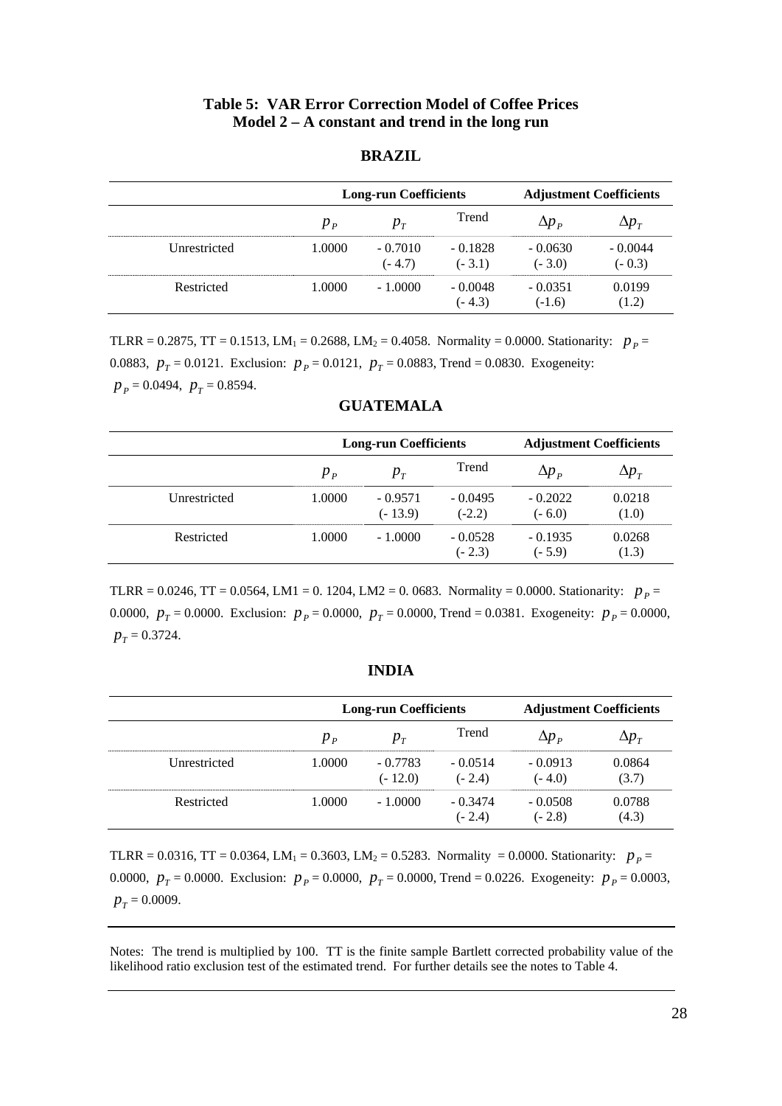#### **Table 5: VAR Error Correction Model of Coffee Prices Model 2 – A constant and trend in the long run**

#### **BRAZIL**

|              |         | <b>Long-run Coefficients</b> |                       |                       | <b>Adjustment Coefficients</b>    |
|--------------|---------|------------------------------|-----------------------|-----------------------|-----------------------------------|
|              | $p_{p}$ | $p_{T}$                      | Trend                 | $\Delta p_{p}$        | $\Delta p_{\scriptscriptstyle T}$ |
| Unrestricted | 1.0000  | $-0.7010$<br>$(-4.7)$        | $-0.1828$<br>$(-3.1)$ | $-0.0630$<br>$(-3.0)$ | $-0.0044$<br>$(-0.3)$             |
| Restricted   | 1.0000  | $-1.0000$                    | $-0.0048$<br>$(-4.3)$ | $-0.0351$<br>$(-1.6)$ | 0.0199<br>(1.2)                   |

TLRR = 0.2875, TT = 0.1513, LM<sub>1</sub> = 0.2688, LM<sub>2</sub> = 0.4058. Normality = 0.0000. Stationarity:  $p_p =$ 0.0883,  $p_T = 0.0121$ . Exclusion:  $p_p = 0.0121$ ,  $p_T = 0.0883$ , Trend = 0.0830. Exogeneity:  $p_p = 0.0494$ ,  $p_T = 0.8594$ .

|              |         | <b>Long-run Coefficients</b> |                       |                       | <b>Adjustment Coefficients</b>    |
|--------------|---------|------------------------------|-----------------------|-----------------------|-----------------------------------|
|              | $p_{p}$ | $p_{T}$                      | Trend                 | $\Delta p_{p}$        | $\Delta p_{\scriptscriptstyle T}$ |
| Unrestricted | 1.0000  | $-0.9571$<br>$(-13.9)$       | $-0.0495$<br>$(-2.2)$ | $-0.2022$<br>$(-6.0)$ | 0.0218<br>(1.0)                   |
| Restricted   | 1.0000  | $-1.0000$                    | $-0.0528$<br>$(-2.3)$ | $-0.1935$<br>$(-5.9)$ | 0.0268<br>(1.3)                   |

#### **GUATEMALA**

TLRR = 0.0246, TT = 0.0564, LM1 = 0. 1204, LM2 = 0. 0683. Normality = 0.0000. Stationarity:  $p_p =$ 0.0000,  $p_T = 0.0000$ . Exclusion:  $p_p = 0.0000$ ,  $p_T = 0.0000$ , Trend = 0.0381. Exogeneity:  $p_p = 0.0000$ ,  $p_T = 0.3724$ .

|                     |         | <b>Long-run Coefficients</b> |                       |                       | <b>Adjustment Coefficients</b> |  |
|---------------------|---------|------------------------------|-----------------------|-----------------------|--------------------------------|--|
|                     | $p_{p}$ | $p_{\rm T}$                  | Trend                 |                       |                                |  |
| <b>Unrestricted</b> | 1.0000  | $-0.7783$<br>$(-12.0)$       | $-0.0514$<br>$(-2.4)$ | $-0.0913$<br>$(-4.0)$ | 0.0864<br>(3.7)                |  |
| Restricted          | 1.0000  | $-1.0000$                    | $-0.3474$<br>$(-2.4)$ | $-0.0508$<br>$(-2.8)$ | 0.0788<br>(4.3)                |  |

TLRR = 0.0316, TT = 0.0364, LM<sub>1</sub> = 0.3603, LM<sub>2</sub> = 0.5283. Normality = 0.0000. Stationarity:  $p_p =$ 0.0000,  $p_T = 0.0000$ . Exclusion:  $p_p = 0.0000$ ,  $p_T = 0.0000$ , Trend = 0.0226. Exogeneity:  $p_p = 0.0003$ ,  $p_T = 0.0009$ .

Notes: The trend is multiplied by 100. TT is the finite sample Bartlett corrected probability value of the likelihood ratio exclusion test of the estimated trend. For further details see the notes to Table 4.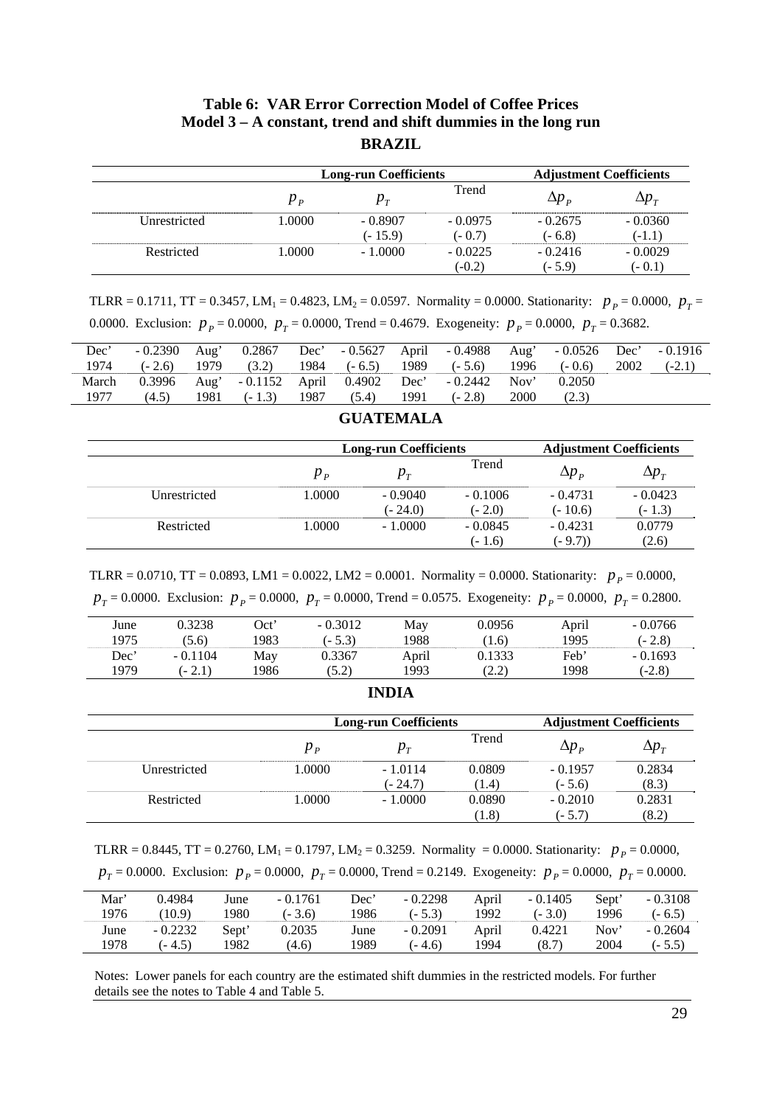### **Table 6: VAR Error Correction Model of Coffee Prices Model 3 – A constant, trend and shift dummies in the long run BRAZIL**

|              | <b>Long-run Coefficients</b> |           |           | <b>Adjustment Coefficients</b> |              |  |
|--------------|------------------------------|-----------|-----------|--------------------------------|--------------|--|
|              | $p_{p}$                      | $p_{T}$   | Trend     | $\Delta p_{p}$                 | $\Delta p_T$ |  |
| Unrestricted | 1.0000                       | $-0.8907$ | $-0.0975$ | $-0.2675$                      | $-0.0360$    |  |
|              |                              | (- 15.9)  | $(-0.7)$  | $(-6.8)$                       | $(-1.1)$     |  |
| Restricted   | 1.0000                       | $-1.0000$ | $-0.0225$ | $-0.2416$                      | $-0.0029$    |  |
|              |                              |           | $(-0.2)$  | $(-5.9)$                       | (- 0.1)      |  |

TLRR = 0.1711, TT = 0.3457, LM<sub>1</sub> = 0.4823, LM<sub>2</sub> = 0.0597. Normality = 0.0000. Stationarity:  $p_p = 0.0000$ ,  $p_T =$ 0.0000. Exclusion:  $p_p = 0.0000$ ,  $p_T = 0.0000$ , Trend = 0.4679. Exogeneity:  $p_p = 0.0000$ ,  $p_T = 0.3682$ .

| Dec'  | $-0.2390$ | Aug' |                                                  |  | 0.2867 Dec' - 0.5627 April - 0.4988 Aug' - 0.0526 Dec' - 0.1916 |      |          |      |          |
|-------|-----------|------|--------------------------------------------------|--|-----------------------------------------------------------------|------|----------|------|----------|
| 1974  |           |      |                                                  |  | $(-2.6)$ 1979 $(3.2)$ 1984 $(-6.5)$ 1989 $(-5.6)$ 1996          |      | $(-0.6)$ | 2002 | $(-2.1)$ |
| March |           |      |                                                  |  | 0.3996 Aug' - 0.1152 April 0.4902 Dec' - 0.2442 Nov'            |      | 0.2050   |      |          |
| 1977  |           |      | $(4.5)$ 1981 $(-1.3)$ 1987 $(5.4)$ 1991 $(-2.8)$ |  |                                                                 | 2000 | (2.3)    |      |          |

|              |         | <b>Long-run Coefficients</b> |                       |                        | <b>Adjustment Coefficients</b>    |
|--------------|---------|------------------------------|-----------------------|------------------------|-----------------------------------|
|              | $p_{p}$ | $p_{T}$                      | Trend                 | $\Delta p$ $_{P}$      | $\Delta p_{\scriptscriptstyle T}$ |
| Unrestricted | 1.0000  | $-0.9040$<br>$(-24.0)$       | $-0.1006$<br>$(-2.0)$ | $-0.4731$<br>$(-10.6)$ | $-0.0423$<br>(- 1.3)              |
| Restricted   | 1.0000  | $-1.0000$                    | $-0.0845$<br>$(-1.6)$ | $-0.4231$<br>$(-9.7))$ | 0.0779<br>(2.6)                   |

#### **GUATEMALA**

| TLRR = 0.0710, TT = 0.0893, LM1 = 0.0022, LM2 = 0.0001. Normality = 0.0000. Stationarity: $p_p = 0.0000$ ,                  |
|-----------------------------------------------------------------------------------------------------------------------------|
| $p_T = 0.0000$ . Exclusion: $p_p = 0.0000$ , $p_T = 0.0000$ , Trend = 0.0575. Exogeneity: $p_p = 0.0000$ , $p_T = 0.2800$ . |

| June | 0.3238    | Oct' | $-0.3012$ | May   | 0.0956 | April | $-0.0766$ |
|------|-----------|------|-----------|-------|--------|-------|-----------|
| 1975 | (5.6)     | 1983 | $-5.3$    | 1988  | (1.6)  | 1995  | (- 2.8)   |
| Dec' | $-0.1104$ | May  | 0.3367    | April | 9.1333 | Feb'  | $-0.1693$ |
| 1979 | $(-2.1)$  | 1986 | (5.2)     | 1993  | (2.2)  | 1998  | $(-2.8)$  |

#### **INDIA**

|              |         | <b>Long-run Coefficients</b> | <b>Adjustment Coefficients</b> |              |              |
|--------------|---------|------------------------------|--------------------------------|--------------|--------------|
|              | $p_{p}$ | $p_{T}$                      | Trend                          | $\Delta p$ p | $\Delta p_T$ |
| Unrestricted | 1.0000  | $-1.0114$                    | 0.0809                         | $-0.1957$    | 0.2834       |
|              |         | (- 24.7)                     | (1.4)                          | $(-5.6)$     | (8.3)        |
| Restricted   | 1.0000  | $-1.0000$                    | 0.0890                         | $-0.2010$    | 0.2831       |
|              |         |                              | (1.8)                          | $(-5.7)$     | (8.2)        |

TLRR = 0.8445, TT = 0.2760, LM<sub>1</sub> = 0.1797, LM<sub>2</sub> = 0.3259. Normality = 0.0000. Stationarity:  $p_p = 0.0000$ ,

|  | $p_T = 0.0000$ . Exclusion: $p_P = 0.0000$ , $p_T = 0.0000$ , Trend = 0.2149. Exogeneity: $p_P = 0.0000$ , $p_T = 0.0000$ . |
|--|-----------------------------------------------------------------------------------------------------------------------------|
|  |                                                                                                                             |

| Mar' | 0.4984    | June  | $-0.1761$ | Dec' | $-0.2298$ | April | $-0.1405$ | Sept' | $-0.3108$ |
|------|-----------|-------|-----------|------|-----------|-------|-----------|-------|-----------|
| 1976 | (10.9)    | 1980- | $(-3.6)$  | 1986 | $(-5.3)$  | 1992  | $(-3.0)$  | 1996  | $(-6.5)$  |
| June | $-0.2232$ | Sept' | 0.2035    | June | $-0.2091$ | April | 0.4221    | Nov'  | $-0.2604$ |
| 1978 | $(-4.5)$  | 1982  | (4.6)     | 1989 | $(-4.6)$  | 1994  | (8.7)     | 2004  | $(-5.5)$  |

Notes: Lower panels for each country are the estimated shift dummies in the restricted models. For further details see the notes to Table 4 and Table 5.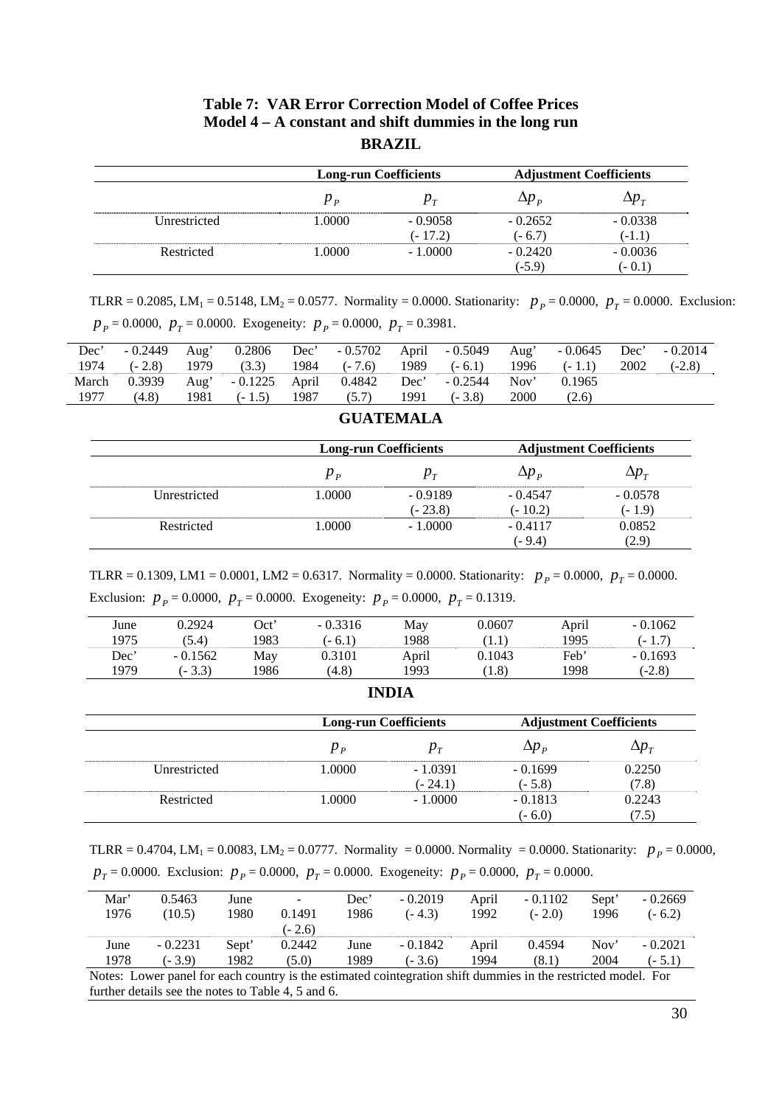#### **Table 7: VAR Error Correction Model of Coffee Prices Model 4 – A constant and shift dummies in the long run BRAZIL**

|              |         | <b>Long-run Coefficients</b> |                       | <b>Adjustment Coefficients</b>    |
|--------------|---------|------------------------------|-----------------------|-----------------------------------|
|              | $p_{p}$ | $p_{T}$                      | $\Delta p$ p          | $\Delta p_{\scriptscriptstyle T}$ |
| Unrestricted | 1.0000  | $-0.9058$<br>$(-17.2)$       | $-0.2652$<br>$(-6.7)$ | $-0.0338$<br>$(-1.1)$             |
| Restricted   | .0000   | $-1.0000$                    | $-0.2420$<br>$(-5.9)$ | $-0.0036$<br>$(-0.1)$             |

TLRR = 0.2085, LM<sub>1</sub> = 0.5148, LM<sub>2</sub> = 0.0577. Normality = 0.0000. Stationarity:  $p_p = 0.0000$ ,  $p_T = 0.0000$ . Exclusion:  $p_p = 0.0000$ ,  $p_T = 0.0000$ . Exogeneity:  $p_p = 0.0000$ ,  $p_T = 0.3981$ .

| Dec' |       |  |  |                                                                   | $-0.2449$ Aug' $0.2806$ Dec' $-0.5702$ April $-0.5049$ Aug' $-0.0645$ Dec' $-0.2014$ |  |
|------|-------|--|--|-------------------------------------------------------------------|--------------------------------------------------------------------------------------|--|
|      |       |  |  |                                                                   | 1974 (-2.8) 1979 (3.3) 1984 (-7.6) 1989 (-6.1) 1996 (-1.1) 2002 (-2.8)               |  |
|      |       |  |  | March 0.3939 Aug' - 0.1225 April 0.4842 Dec' - 0.2544 Nov' 0.1965 |                                                                                      |  |
| 1977 | (4.8) |  |  | 1981 (-1.5) 1987 (5.7) 1991 (-3.8) 2000                           | (2.6)                                                                                |  |

|              |         | <b>Long-run Coefficients</b> | <b>Adjustment Coefficients</b> |                                   |  |
|--------------|---------|------------------------------|--------------------------------|-----------------------------------|--|
|              | $p_{p}$ | $p_{T}$                      | $\Delta p_{p}$                 | $\Delta p_{\scriptscriptstyle T}$ |  |
| Unrestricted | 1.0000  | $-0.9189$                    | $-0.4547$                      | $-0.0578$                         |  |
|              |         | $(-23.8)$                    | $(-10.2)$                      | $(-1.9)$                          |  |
| Restricted   | 1.0000  | $-1.0000$                    | $-0.4117$                      | 0.0852                            |  |
|              |         |                              | (- 9.4)                        | (2.9)                             |  |

#### **GUATEMALA**

TLRR = 0.1309, LM1 = 0.0001, LM2 = 0.6317. Normality = 0.0000. Stationarity:  $p_p = 0.0000$ ,  $p_T = 0.0000$ . Exclusion:  $p_p = 0.0000$ ,  $p_T = 0.0000$ . Exogeneity:  $p_p = 0.0000$ ,  $p_T = 0.1319$ .

| June | 0.2924    | Oct' | $-0.3316$ | May   | 0.0607      | April | $-0.1062$ |
|------|-----------|------|-----------|-------|-------------|-------|-----------|
| 1975 | (5.4)     | 1983 | $(-6.1)$  | 1988  | $1.1^\circ$ | 1995  | $(-1.7)$  |
| Dec' | $-0.1562$ | May  | 0.3101    | April | 0.1043      | Feb'  | $-0.1693$ |
| 1979 | $-3.3)$   | 1986 | (4.8)     | 1993  | (1.8)       | 1998  | $(-2.8)$  |

#### **INDIA**

|              |         | <b>Long-run Coefficients</b> | <b>Adjustment Coefficients</b> |                                   |
|--------------|---------|------------------------------|--------------------------------|-----------------------------------|
|              | $p_{p}$ | $p_{T}$                      | $\Delta p$ $_{P}$              | $\Delta p_{\scriptscriptstyle T}$ |
| Unrestricted | 1.0000  | $-1.0391$                    | $-0.1699$                      | 0.2250                            |
|              |         | $(-24.1)$                    | $(-5.8)$                       | (7.8)                             |
| Restricted   | 1.0000  | $-1.0000$                    | $-0.1813$                      | 0.2243                            |
|              |         |                              | $(-6.0)$                       | (7.5)                             |

TLRR = 0.4704, LM<sub>1</sub> = 0.0083, LM<sub>2</sub> = 0.0777. Normality = 0.0000. Normality = 0.0000. Stationarity:  $p_p = 0.0000$ ,

| Mar'<br>1976                                                                                                  | 0.5463<br>(10.5) | June<br>1980 | -<br>0.1491<br>$(-2.6)$ | Dec'<br>1986 | $-0.2019$<br>$(-4.3)$ | April<br>1992 | $-0.1102$<br>$(-2.0)$ | Sept'<br>1996 | $-0.2669$<br>$(-6.2)$ |
|---------------------------------------------------------------------------------------------------------------|------------------|--------------|-------------------------|--------------|-----------------------|---------------|-----------------------|---------------|-----------------------|
| June                                                                                                          | $-0.2231$        | Sept'        | 0.2442                  | June         | $-0.1842$             | April         | 0.4594                | Nov'          | $-0.2021$             |
| 1978                                                                                                          | $(-3.9)$         | 1982         | (5.0)                   | 1989         | $(-3.6)$              | 1994          | (8.1)                 | 2004          | $(-5.1)$              |
| Notes: Lower panel for each country is the estimated cointegration shift dummies in the restricted model. For |                  |              |                         |              |                       |               |                       |               |                       |

further details see the notes to Table 4, 5 and 6.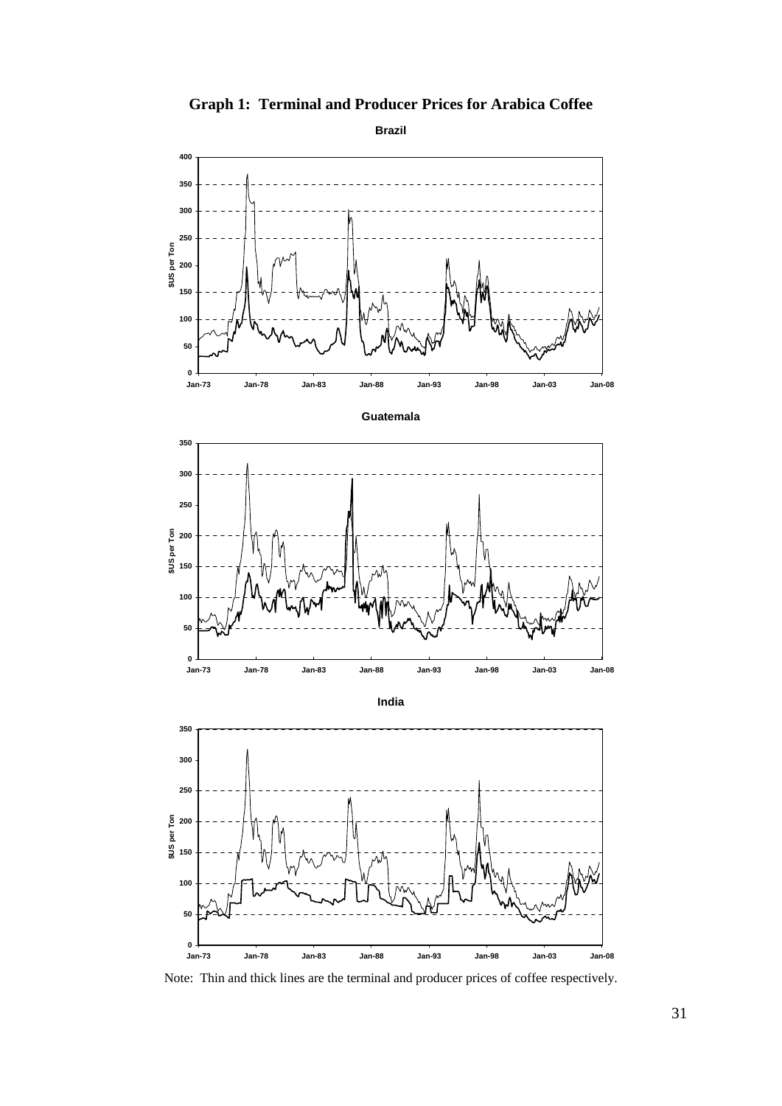

**Graph 1: Terminal and Producer Prices for Arabica Coffee** 

Note: Thin and thick lines are the terminal and producer prices of coffee respectively.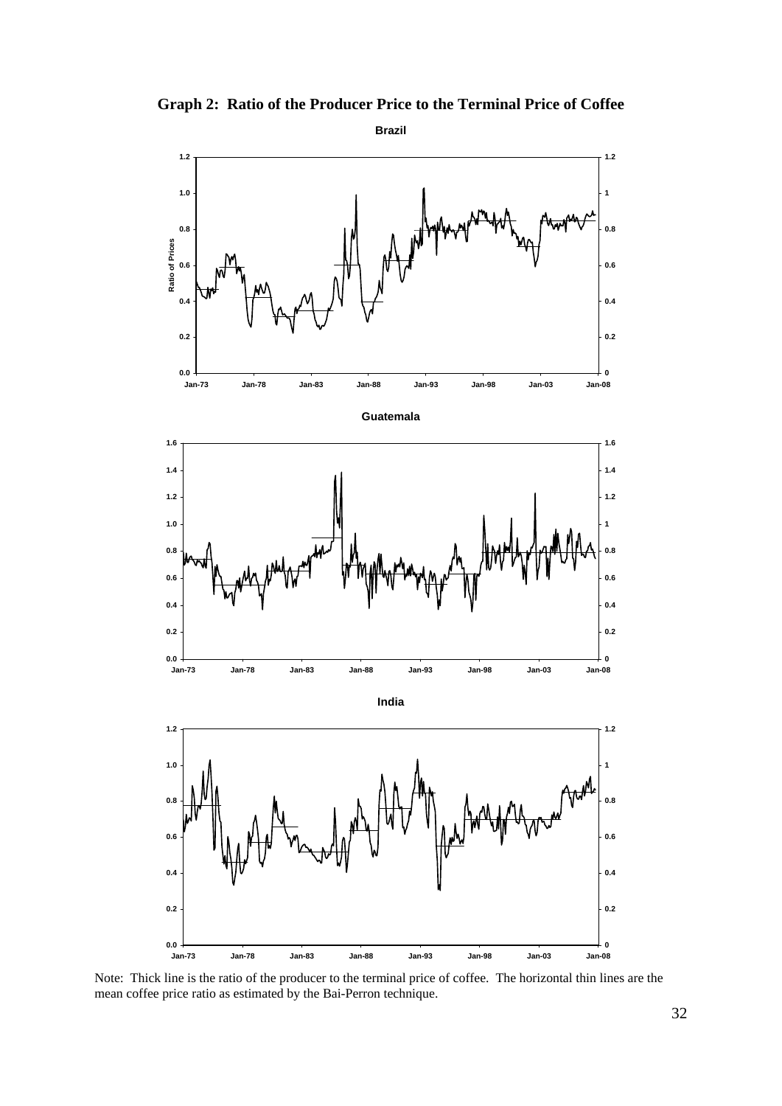

**Graph 2: Ratio of the Producer Price to the Terminal Price of Coffee** 

Note: Thick line is the ratio of the producer to the terminal price of coffee. The horizontal thin lines are the mean coffee price ratio as estimated by the Bai-Perron technique.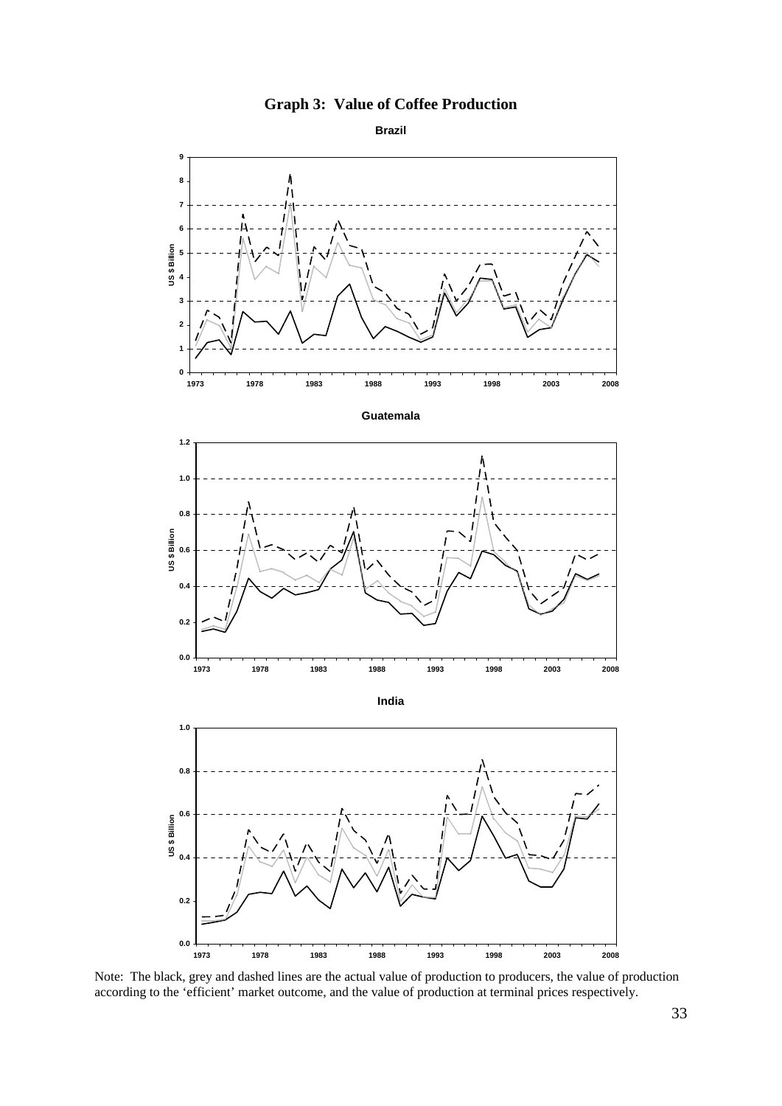![](_page_34_Figure_0.jpeg)

![](_page_34_Figure_1.jpeg)

Note: The black, grey and dashed lines are the actual value of production to producers, the value of production according to the 'efficient' market outcome, and the value of production at terminal prices respectively.